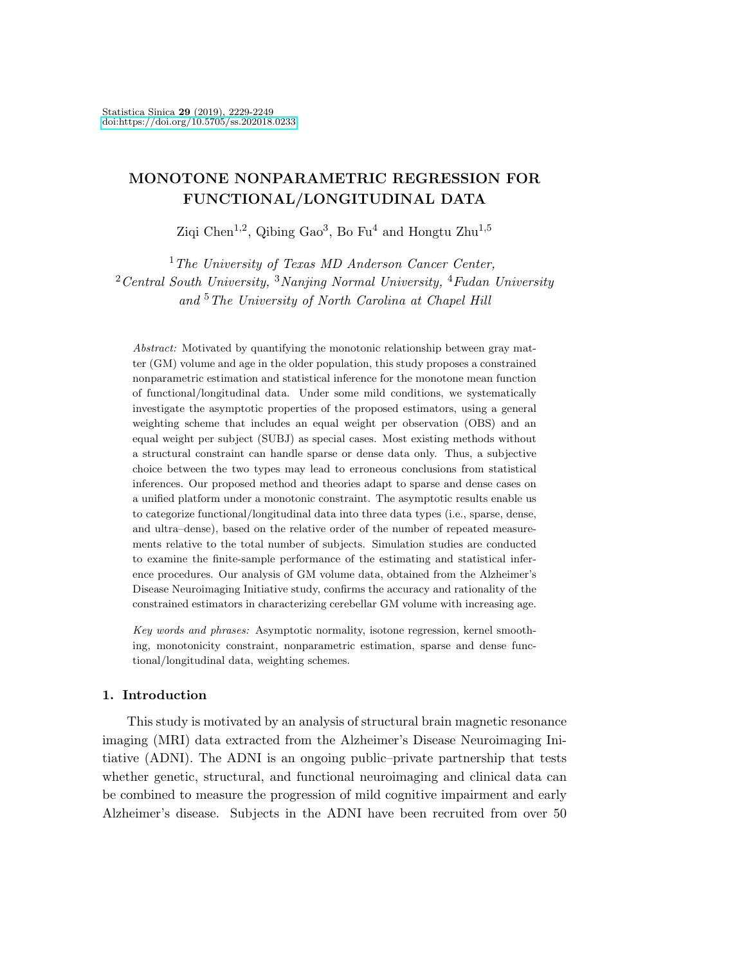# MONOTONE NONPARAMETRIC REGRESSION FOR FUNCTIONAL/LONGITUDINAL DATA

Ziqi Chen<sup>1,2</sup>, Qibing Gao<sup>3</sup>, Bo Fu<sup>4</sup> and Hongtu Zhu<sup>1,5</sup>

 $1$  The University of Texas MD Anderson Cancer Center,  $2$  Central South University,  $3$  Nanjing Normal University,  $4$  Fudan University and <sup>5</sup>The University of North Carolina at Chapel Hill

Abstract: Motivated by quantifying the monotonic relationship between gray matter (GM) volume and age in the older population, this study proposes a constrained nonparametric estimation and statistical inference for the monotone mean function of functional/longitudinal data. Under some mild conditions, we systematically investigate the asymptotic properties of the proposed estimators, using a general weighting scheme that includes an equal weight per observation (OBS) and an equal weight per subject (SUBJ) as special cases. Most existing methods without a structural constraint can handle sparse or dense data only. Thus, a subjective choice between the two types may lead to erroneous conclusions from statistical inferences. Our proposed method and theories adapt to sparse and dense cases on a unified platform under a monotonic constraint. The asymptotic results enable us to categorize functional/longitudinal data into three data types (i.e., sparse, dense, and ultra–dense), based on the relative order of the number of repeated measurements relative to the total number of subjects. Simulation studies are conducted to examine the finite-sample performance of the estimating and statistical inference procedures. Our analysis of GM volume data, obtained from the Alzheimer's Disease Neuroimaging Initiative study, confirms the accuracy and rationality of the constrained estimators in characterizing cerebellar GM volume with increasing age.

Key words and phrases: Asymptotic normality, isotone regression, kernel smoothing, monotonicity constraint, nonparametric estimation, sparse and dense functional/longitudinal data, weighting schemes.

# 1. Introduction

This study is motivated by an analysis of structural brain magnetic resonance imaging (MRI) data extracted from the Alzheimer's Disease Neuroimaging Initiative (ADNI). The ADNI is an ongoing public–private partnership that tests whether genetic, structural, and functional neuroimaging and clinical data can be combined to measure the progression of mild cognitive impairment and early Alzheimer's disease. Subjects in the ADNI have been recruited from over 50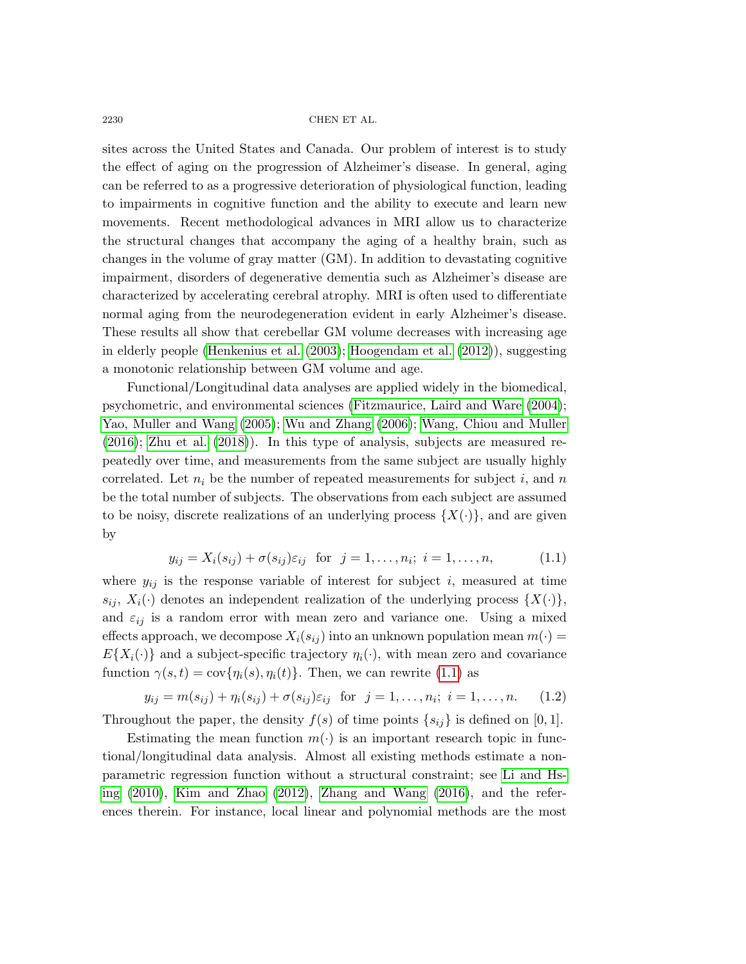sites across the United States and Canada. Our problem of interest is to study the effect of aging on the progression of Alzheimer's disease. In general, aging can be referred to as a progressive deterioration of physiological function, leading to impairments in cognitive function and the ability to execute and learn new movements. Recent methodological advances in MRI allow us to characterize the structural changes that accompany the aging of a healthy brain, such as changes in the volume of gray matter (GM). In addition to devastating cognitive impairment, disorders of degenerative dementia such as Alzheimer's disease are characterized by accelerating cerebral atrophy. MRI is often used to differentiate normal aging from the neurodegeneration evident in early Alzheimer's disease. These results all show that cerebellar GM volume decreases with increasing age in elderly people [\(Henkenius et al. \(2003\)](#page-19-0); [Hoogendam et al. \(2012\)](#page-19-1)), suggesting a monotonic relationship between GM volume and age.

Functional/Longitudinal data analyses are applied widely in the biomedical, psychometric, and environmental sciences [\(Fitzmaurice, Laird and Ware \(2004\)](#page-18-0); [Yao, Muller and Wang \(2005\)](#page-19-2); [Wu and Zhang \(2006\)](#page-19-3); [Wang, Chiou and Muller](#page-19-4) [\(2016\)](#page-19-4); [Zhu et al. \(2018\)](#page-20-0)). In this type of analysis, subjects are measured repeatedly over time, and measurements from the same subject are usually highly correlated. Let  $n_i$  be the number of repeated measurements for subject i, and n be the total number of subjects. The observations from each subject are assumed to be noisy, discrete realizations of an underlying process  $\{X(\cdot)\}\$ , and are given by

<span id="page-1-0"></span>
$$
y_{ij} = X_i(s_{ij}) + \sigma(s_{ij})\varepsilon_{ij} \quad \text{for} \quad j = 1, \dots, n_i; \quad i = 1, \dots, n,
$$
\n
$$
(1.1)
$$

where  $y_{ij}$  is the response variable of interest for subject i, measured at time  $s_{ij}$ ,  $X_i(\cdot)$  denotes an independent realization of the underlying process  $\{X(\cdot)\},$ and  $\varepsilon_{ij}$  is a random error with mean zero and variance one. Using a mixed effects approach, we decompose  $X_i(s_{ij})$  into an unknown population mean  $m(\cdot)$  =  $E{X_i(\cdot)}$  and a subject-specific trajectory  $\eta_i(\cdot)$ , with mean zero and covariance function  $\gamma(s,t) = \text{cov} \{ \eta_i(s), \eta_i(t) \}.$  Then, we can rewrite [\(1.1\)](#page-1-0) as

<span id="page-1-1"></span>
$$
y_{ij} = m(s_{ij}) + \eta_i(s_{ij}) + \sigma(s_{ij})\varepsilon_{ij} \text{ for } j = 1, ..., n_i; i = 1, ..., n. \quad (1.2)
$$

Throughout the paper, the density  $f(s)$  of time points  $\{s_{ij}\}\$ is defined on [0,1].

Estimating the mean function  $m(\cdot)$  is an important research topic in functional/longitudinal data analysis. Almost all existing methods estimate a nonparametric regression function without a structural constraint; see [Li and Hs](#page-19-5)[ing \(2010\)](#page-19-5), [Kim and Zhao \(2012\)](#page-19-6), [Zhang and Wang \(2016\)](#page-19-7), and the references therein. For instance, local linear and polynomial methods are the most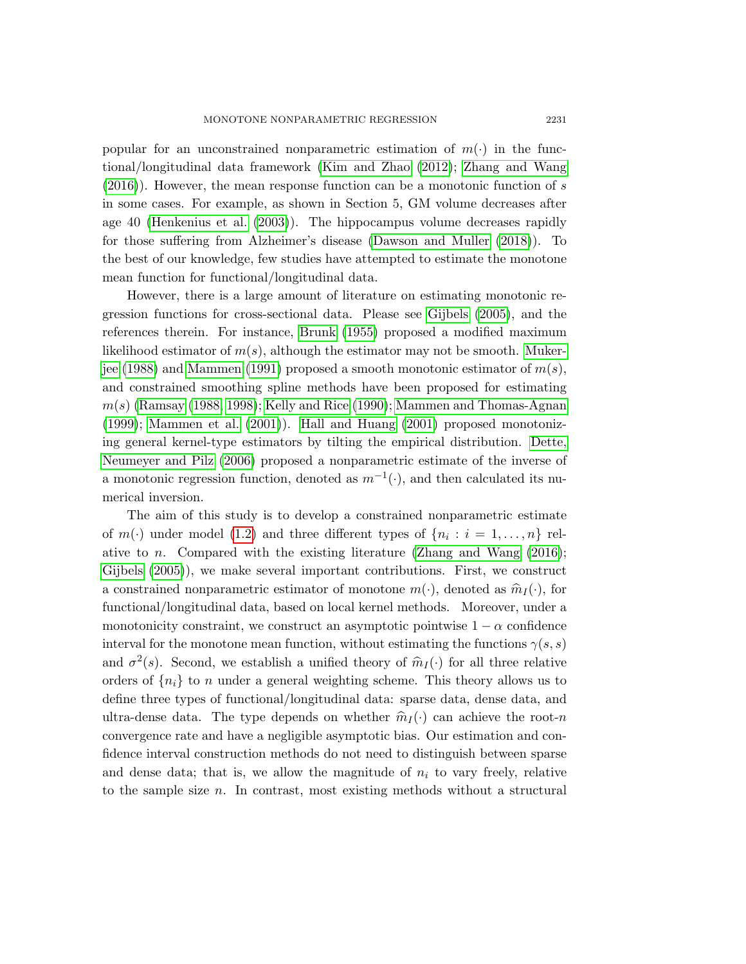popular for an unconstrained nonparametric estimation of  $m(\cdot)$  in the functional/longitudinal data framework [\(Kim and Zhao \(2012\)](#page-19-6); [Zhang and Wang](#page-19-7) [\(2016\)](#page-19-7)). However, the mean response function can be a monotonic function of s in some cases. For example, as shown in Section 5, GM volume decreases after age 40 [\(Henkenius et al. \(2003\)](#page-19-0)). The hippocampus volume decreases rapidly for those suffering from Alzheimer's disease [\(Dawson and Muller \(2018\)](#page-18-1)). To the best of our knowledge, few studies have attempted to estimate the monotone mean function for functional/longitudinal data.

However, there is a large amount of literature on estimating monotonic regression functions for cross-sectional data. Please see [Gijbels \(2005\)](#page-19-8), and the references therein. For instance, [Brunk \(1955\)](#page-18-2) proposed a modified maximum likelihood estimator of  $m(s)$ , although the estimator may not be smooth. [Muker](#page-19-9)[jee \(1988\)](#page-19-9) and [Mammen \(1991\)](#page-19-10) proposed a smooth monotonic estimator of  $m(s)$ , and constrained smoothing spline methods have been proposed for estimating  $m(s)$  [\(Ramsay \(1988,](#page-19-11) [1998\)](#page-19-12); [Kelly and Rice \(1990\)](#page-19-13); [Mammen and Thomas-Agnan](#page-19-14) [\(1999\)](#page-19-14); [Mammen et al. \(2001\)](#page-19-15)). [Hall and Huang \(2001\)](#page-19-16) proposed monotonizing general kernel-type estimators by tilting the empirical distribution. [Dette,](#page-18-3) [Neumeyer and Pilz \(2006\)](#page-18-3) proposed a nonparametric estimate of the inverse of a monotonic regression function, denoted as  $m^{-1}(\cdot)$ , and then calculated its numerical inversion.

The aim of this study is to develop a constrained nonparametric estimate of  $m(\cdot)$  under model [\(1.2\)](#page-1-1) and three different types of  $\{n_i : i = 1, ..., n\}$  relative to *n*. Compared with the existing literature (Zhang and Wang  $(2016)$ ; [Gijbels \(2005\)](#page-19-8)), we make several important contributions. First, we construct a constrained nonparametric estimator of monotone  $m(\cdot)$ , denoted as  $\hat{m}_I(\cdot)$ , for functional/longitudinal data, based on local kernel methods. Moreover, under a monotonicity constraint, we construct an asymptotic pointwise  $1 - \alpha$  confidence interval for the monotone mean function, without estimating the functions  $\gamma(s,s)$ and  $\sigma^2(s)$ . Second, we establish a unified theory of  $\hat{m}_I(\cdot)$  for all three relative orders of  $\{n_i\}$  to n under a general weighting scheme. This theory allows us to define three types of functional/longitudinal data: sparse data, dense data, and ultra-dense data. The type depends on whether  $\widehat{m}_I(\cdot)$  can achieve the root-n convergence rate and have a negligible asymptotic bias. Our estimation and confidence interval construction methods do not need to distinguish between sparse and dense data; that is, we allow the magnitude of  $n_i$  to vary freely, relative to the sample size n. In contrast, most existing methods without a structural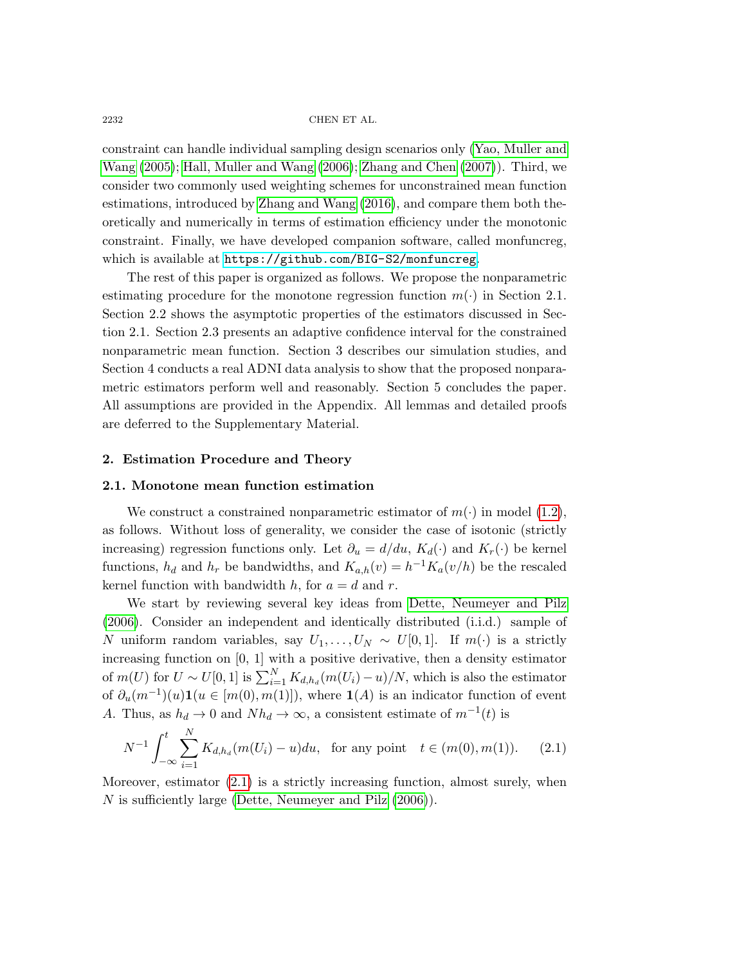constraint can handle individual sampling design scenarios only [\(Yao, Muller and](#page-19-2) [Wang \(2005\)](#page-19-2); [Hall, Muller and Wang \(2006\)](#page-19-17); [Zhang and Chen \(2007\)](#page-19-18)). Third, we consider two commonly used weighting schemes for unconstrained mean function estimations, introduced by [Zhang and Wang \(2016\)](#page-19-7), and compare them both theoretically and numerically in terms of estimation efficiency under the monotonic constraint. Finally, we have developed companion software, called monfuncreg, which is available at <https://github.com/BIG-S2/monfuncreg>.

The rest of this paper is organized as follows. We propose the nonparametric estimating procedure for the monotone regression function  $m(\cdot)$  in Section 2.1. Section 2.2 shows the asymptotic properties of the estimators discussed in Section 2.1. Section 2.3 presents an adaptive confidence interval for the constrained nonparametric mean function. Section 3 describes our simulation studies, and Section 4 conducts a real ADNI data analysis to show that the proposed nonparametric estimators perform well and reasonably. Section 5 concludes the paper. All assumptions are provided in the Appendix. All lemmas and detailed proofs are deferred to the Supplementary Material.

#### 2. Estimation Procedure and Theory

### 2.1. Monotone mean function estimation

We construct a constrained nonparametric estimator of  $m(\cdot)$  in model [\(1.2\)](#page-1-1), as follows. Without loss of generality, we consider the case of isotonic (strictly increasing) regression functions only. Let  $\partial_u = d/du$ ,  $K_d(\cdot)$  and  $K_r(\cdot)$  be kernel functions,  $h_d$  and  $h_r$  be bandwidths, and  $K_{a,h}(v) = h^{-1}K_a(v/h)$  be the rescaled kernel function with bandwidth h, for  $a = d$  and r.

We start by reviewing several key ideas from [Dette, Neumeyer and Pilz](#page-18-3) [\(2006\)](#page-18-3). Consider an independent and identically distributed (i.i.d.) sample of N uniform random variables, say  $U_1, \ldots, U_N \sim U[0, 1]$ . If  $m(\cdot)$  is a strictly increasing function on  $[0, 1]$  with a positive derivative, then a density estimator of  $m(U)$  for  $U \sim U[0,1]$  is  $\sum_{i=1}^{N} K_{d,h_d}(m(U_i) - u)/N$ , which is also the estimator of  $\partial_u(m^{-1})(u) \mathbf{1}(u \in [m(0), m(1)]),$  where  $\mathbf{1}(A)$  is an indicator function of event A. Thus, as  $h_d \to 0$  and  $Nh_d \to \infty$ , a consistent estimate of  $m^{-1}(t)$  is

<span id="page-3-0"></span>
$$
N^{-1} \int_{-\infty}^{t} \sum_{i=1}^{N} K_{d,h_d}(m(U_i) - u) du, \text{ for any point } t \in (m(0), m(1)). \tag{2.1}
$$

Moreover, estimator [\(2.1\)](#page-3-0) is a strictly increasing function, almost surely, when N is sufficiently large [\(Dette, Neumeyer and Pilz \(2006\)](#page-18-3)).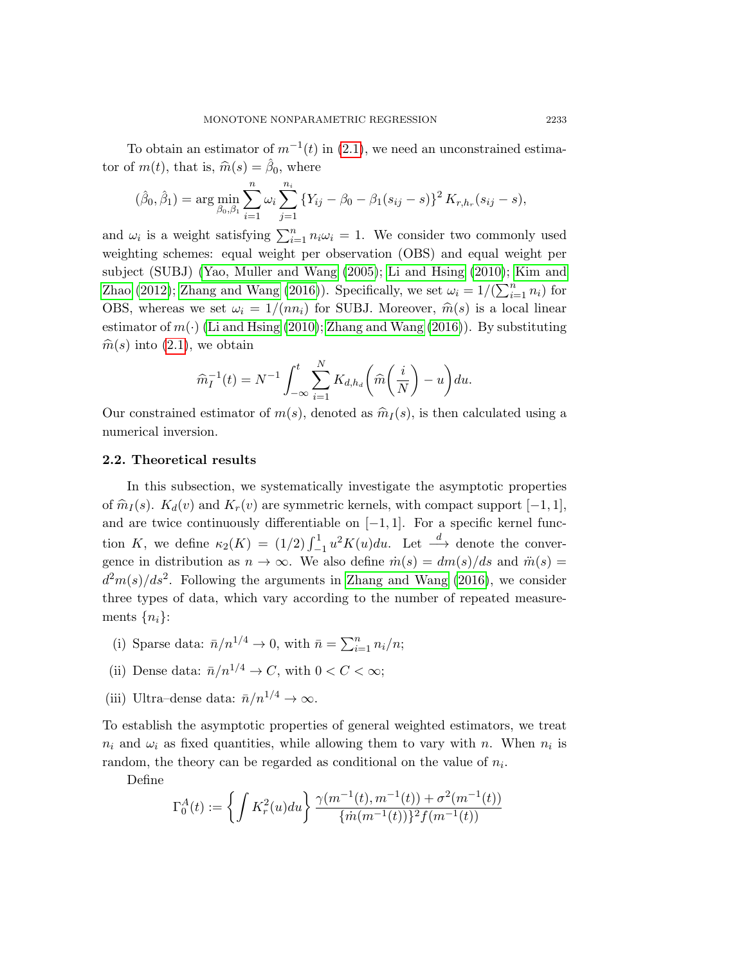To obtain an estimator of  $m^{-1}(t)$  in [\(2.1\)](#page-3-0), we need an unconstrained estimator of  $m(t)$ , that is,  $\widehat{m}(s) = \widehat{\beta}_0$ , where

<span id="page-4-0"></span>
$$
(\hat{\beta}_0, \hat{\beta}_1) = \arg \min_{\beta_0, \beta_1} \sum_{i=1}^n \omega_i \sum_{j=1}^{n_i} \left\{ Y_{ij} - \beta_0 - \beta_1 (s_{ij} - s) \right\}^2 K_{r, h_r}(s_{ij} - s),
$$

and  $\omega_i$  is a weight satisfying  $\sum_{i=1}^n n_i \omega_i = 1$ . We consider two commonly used weighting schemes: equal weight per observation (OBS) and equal weight per subject (SUBJ) [\(Yao, Muller and Wang \(2005\)](#page-19-2); [Li and Hsing \(2010\)](#page-19-5); [Kim and](#page-19-6) [Zhao \(2012\)](#page-19-6); [Zhang and Wang \(2016\)](#page-19-7)). Specifically, we set  $\omega_i = 1/(\sum_{i=1}^n n_i)$  for OBS, whereas we set  $\omega_i = 1/(nn_i)$  for SUBJ. Moreover,  $\hat{m}(s)$  is a local linear estimator of  $m(\cdot)$  [\(Li and Hsing \(2010\)](#page-19-5); [Zhang and Wang \(2016\)](#page-19-7)). By substituting  $\hat{m}(s)$  into  $(2.1)$ , we obtain

$$
\widehat{m}_I^{-1}(t) = N^{-1} \int_{-\infty}^t \sum_{i=1}^N K_{d,h_d} \left( \widehat{m} \left( \frac{i}{N} \right) - u \right) du.
$$

Our constrained estimator of  $m(s)$ , denoted as  $\widehat{m}_I(s)$ , is then calculated using a numerical inversion.

## 2.2. Theoretical results

In this subsection, we systematically investigate the asymptotic properties of  $\hat{m}_I(s)$ .  $K_d(v)$  and  $K_r(v)$  are symmetric kernels, with compact support  $[-1, 1]$ , and are twice continuously differentiable on  $[-1, 1]$ . For a specific kernel function K, we define  $\kappa_2(K) = (1/2) \int_{-1}^{1} u^2 K(u) du$ . Let  $\stackrel{d}{\longrightarrow}$  denote the convergence in distribution as  $n \to \infty$ . We also define  $\dot{m}(s) = dm(s)/ds$  and  $\ddot{m}(s) =$  $d^2m(s)/ds^2$ . Following the arguments in [Zhang and Wang \(2016\)](#page-19-7), we consider three types of data, which vary according to the number of repeated measurements  $\{n_i\}$ :

- (i) Sparse data:  $\bar{n}/n^{1/4} \to 0$ , with  $\bar{n} = \sum_{i=1}^{n} n_i/n$ ;
- (ii) Dense data:  $\bar{n}/n^{1/4} \to C$ , with  $0 < C < \infty$ ;
- (iii) Ultra–dense data:  $\bar{n}/n^{1/4} \to \infty$ .

To establish the asymptotic properties of general weighted estimators, we treat  $n_i$  and  $\omega_i$  as fixed quantities, while allowing them to vary with n. When  $n_i$  is random, the theory can be regarded as conditional on the value of  $n_i$ .

Define

$$
\Gamma_0^A(t) := \left\{ \int K_r^2(u) du \right\} \frac{\gamma(m^{-1}(t), m^{-1}(t)) + \sigma^2(m^{-1}(t))}{\{\dot{m}(m^{-1}(t))\}^2 f(m^{-1}(t))}
$$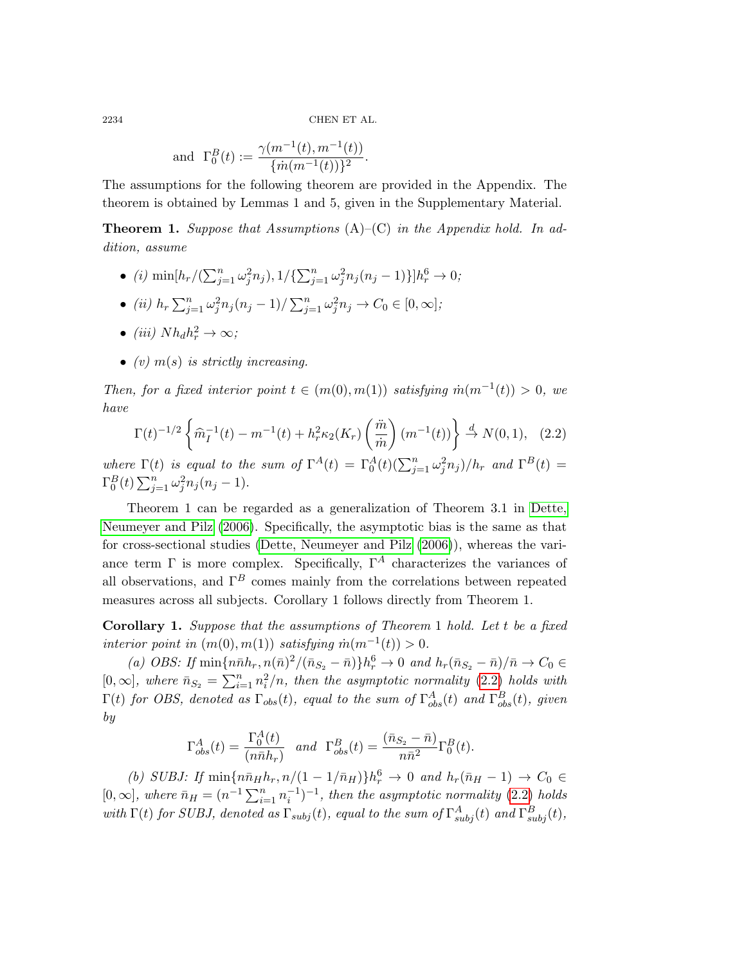and 
$$
\Gamma_0^B(t) := \frac{\gamma(m^{-1}(t), m^{-1}(t))}{\{\dot{m}(m^{-1}(t))\}^2}.
$$

The assumptions for the following theorem are provided in the Appendix. The theorem is obtained by Lemmas 1 and 5, given in the Supplementary Material.

<span id="page-5-0"></span>**Theorem 1.** Suppose that Assumptions  $(A)$ – $(C)$  in the Appendix hold. In addition, assume

- (i)  $\min[h_r/(\sum_{j=1}^n \omega_j^2 n_j), 1/\{\sum_{j=1}^n \omega_j^2 n_j(n_j-1)\}]h_r^6 \to 0;$
- (ii)  $h_r \sum_{j=1}^n \omega_j^2 n_j (n_j 1) / \sum_{j=1}^n \omega_j^2 n_j \to C_0 \in [0, \infty];$
- (iii)  $Nh_dh_r^2 \to \infty$ ;
- (v)  $m(s)$  is strictly increasing.

Then, for a fixed interior point  $t \in (m(0), m(1))$  satisfying  $\dot{m}(m^{-1}(t)) > 0$ , we have

$$
\Gamma(t)^{-1/2} \left\{ \widehat{m}_I^{-1}(t) - m^{-1}(t) + h_r^2 \kappa_2(K_r) \left( \frac{\ddot{m}}{\dot{m}} \right) (m^{-1}(t)) \right\} \stackrel{d}{\to} N(0, 1), \quad (2.2)
$$

where  $\Gamma(t)$  is equal to the sum of  $\Gamma^{A}(t) = \Gamma^{A}_{0}(t)(\sum_{j=1}^{n} \omega_{j}^{2} n_{j})/h_{r}$  and  $\Gamma^{B}(t) =$  $\Gamma_0^B(t) \sum_{j=1}^n \omega_j^2 n_j (n_j - 1).$ 

Theorem 1 can be regarded as a generalization of Theorem 3.1 in [Dette,](#page-18-3) [Neumeyer and Pilz \(2006\)](#page-18-3). Specifically, the asymptotic bias is the same as that for cross-sectional studies [\(Dette, Neumeyer and Pilz \(2006\)](#page-18-3)), whereas the variance term  $\Gamma$  is more complex. Specifically,  $\Gamma^A$  characterizes the variances of all observations, and  $\Gamma^B$  comes mainly from the correlations between repeated measures across all subjects. Corollary 1 follows directly from Theorem [1.](#page-5-0)

<span id="page-5-1"></span>Corollary 1. Suppose that the assumptions of Theorem [1](#page-5-0) hold. Let t be a fixed interior point in  $(m(0), m(1))$  satisfying  $\dot{m}(m^{-1}(t)) > 0$ .

(a) OBS: If  $\min\{n\bar{n}h_r, n(\bar{n})^2/(\bar{n}_{S_2} - \bar{n})\}h_r^6 \to 0$  and  $h_r(\bar{n}_{S_2} - \bar{n})/\bar{n} \to C_0 \in$ [0,  $\infty$ ], where  $\bar{n}_{S_2} = \sum_{i=1}^n n_i^2/n$ , then the asymptotic normality [\(2.2\)](#page-4-0) holds with  $\Gamma(t)$  for OBS, denoted as  $\Gamma_{obs}(t)$ , equal to the sum of  $\Gamma^{A}_{obs}(t)$  and  $\Gamma^{B}_{obs}(t)$ , given by

<span id="page-5-2"></span>
$$
\Gamma^A_{obs}(t) = \frac{\Gamma^A_0(t)}{(n\bar{n}h_r)} \quad and \quad \Gamma^B_{obs}(t) = \frac{(\bar{n}_{S_2} - \bar{n})}{n\bar{n}^2} \Gamma^B_0(t).
$$

(b) SUBJ: If  $\min\{n\bar{n}_H h_r, n/(1-1/\bar{n}_H)\}h_r^6 \to 0$  and  $h_r(\bar{n}_H - 1) \to C_0 \in$ [0,  $\infty$ ], where  $\bar{n}_H = (n^{-1} \sum_{i=1}^n n_i^{-1})^{-1}$ , then the asymptotic normality [\(2.2\)](#page-4-0) holds with  $\Gamma(t)$  for SUBJ, denoted as  $\Gamma_{subj}(t)$ , equal to the sum of  $\Gamma^A_{subj}(t)$  and  $\Gamma^B_{subj}(t)$ ,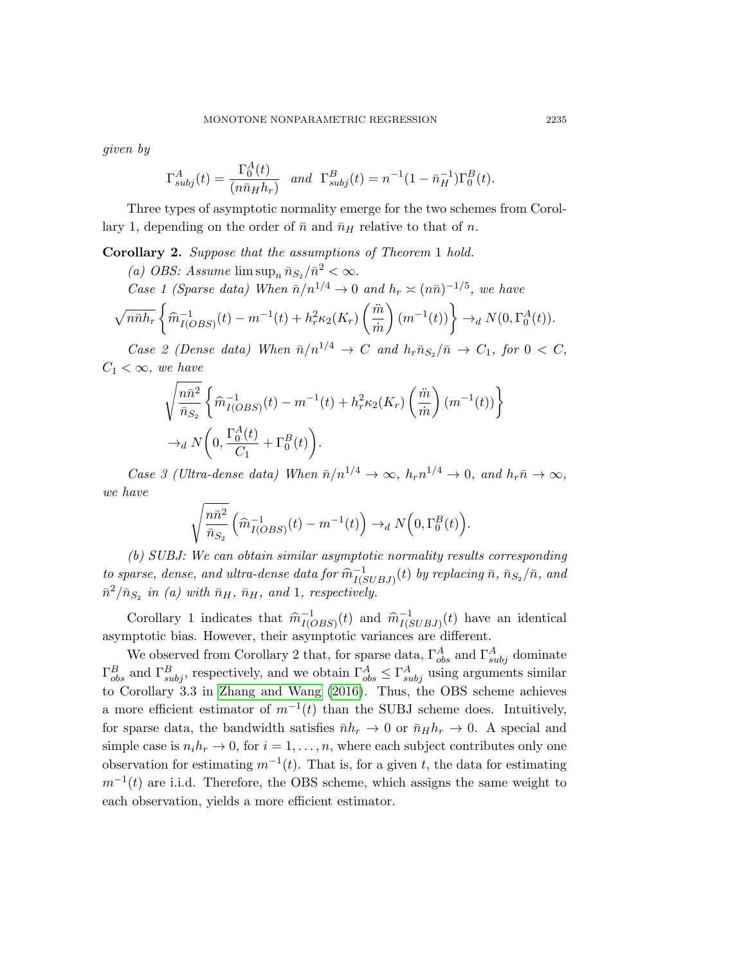given by

$$
\Gamma_{subj}^A(t) = \frac{\Gamma_0^A(t)}{(n\bar{n}_H h_r)} \quad and \quad \Gamma_{subj}^B(t) = n^{-1}(1 - \bar{n}_H^{-1})\Gamma_0^B(t).
$$

Three types of asymptotic normality emerge for the two schemes from Corol-lary [1,](#page-5-1) depending on the order of  $\bar{n}$  and  $\bar{n}_H$  relative to that of n.

<span id="page-6-0"></span>Corollary 2. Suppose that the assumptions of Theorem [1](#page-5-0) hold.

(a) OBS: Assume  $\limsup_n \bar{n}_{S_2}/\bar{n}^2 < \infty$ .

Case 1 (Sparse data) When  $\bar{n}/n^{1/4} \rightarrow 0$  and  $h_r \approx (n\bar{n})^{-1/5}$ , we have

$$
\sqrt{n\bar{n}}h_r\left\{\widehat{m}_{I(OBS)}^{-1}(t) - m^{-1}(t) + h_r^2\kappa_2(K_r)\left(\frac{\ddot{m}}{\dot{m}}\right)(m^{-1}(t))\right\} \to_d N(0,\Gamma_0^A(t)).
$$

Case 2 (Dense data) When  $\bar{n}/n^{1/4} \rightarrow C$  and  $h_r \bar{n}_{S_2}/\bar{n} \rightarrow C_1$ , for  $0 < C$ ,  $C_1 < \infty$ , we have

$$
\sqrt{\frac{n\bar{n}^2}{\bar{n}_{S_2}}} \left\{ \widehat{m}_{I(OBS)}^{-1}(t) - m^{-1}(t) + h_r^2 \kappa_2(K_r) \left( \frac{\ddot{m}}{\dot{m}} \right) (m^{-1}(t)) \right\}
$$
  
\n
$$
\rightarrow_d N \left( 0, \frac{\Gamma_0^A(t)}{C_1} + \Gamma_0^B(t) \right).
$$

Case 3 (Ultra-dense data) When  $\bar{n}/n^{1/4} \to \infty$ ,  $h_r n^{1/4} \to 0$ , and  $h_r \bar{n} \to \infty$ , we have

$$
\sqrt{\frac{n\bar{n}^2}{\bar{n}_{S_2}}} \left(\widehat{m}_{I(OBS)}^{-1}(t) - m^{-1}(t)\right) \rightarrow_d N\left(0, \Gamma_0^B(t)\right).
$$

(b) SUBJ: We can obtain similar asymptotic normality results corresponding to sparse, dense, and ultra-dense data for  $\hat{m}_{I(S)}^{-1}$  $\bar{I}_{I(SUBJ)}^{-1}(t)$  by replacing  $\bar{n},$   $\bar{n}_{S_2}/\bar{n},$  and  $\bar{n}^2/\bar{n}_{S_2}$  in (a) with  $\bar{n}_H$ ,  $\bar{n}_H$ , and 1, respectively.

Corollary [1](#page-5-1) indicates that  $\hat{m}_{I(C)}^{-1}$  $I(OBS)(t)$  and  $\widehat{m}_{I(S)}^{-1}$  $I(SUBJ)(t)$  have an identical asymptotic bias. However, their asymptotic variances are different.

We observed from Corollary [2](#page-6-0) that, for sparse data,  $\Gamma^A_{obs}$  and  $\Gamma^A_{subj}$  dominate  $\Gamma^B_{obs}$  and  $\Gamma^B_{subj}$ , respectively, and we obtain  $\Gamma^A_{obs} \leq \Gamma^A_{subj}$  using arguments similar to Corollary 3.3 in [Zhang and Wang \(2016\)](#page-19-7). Thus, the OBS scheme achieves a more efficient estimator of  $m^{-1}(t)$  than the SUBJ scheme does. Intuitively, for sparse data, the bandwidth satisfies  $\bar{n}h_r \to 0$  or  $\bar{n}_H h_r \to 0$ . A special and simple case is  $n_i h_r \to 0$ , for  $i = 1, \ldots, n$ , where each subject contributes only one observation for estimating  $m^{-1}(t)$ . That is, for a given t, the data for estimating  $m^{-1}(t)$  are i.i.d. Therefore, the OBS scheme, which assigns the same weight to each observation, yields a more efficient estimator.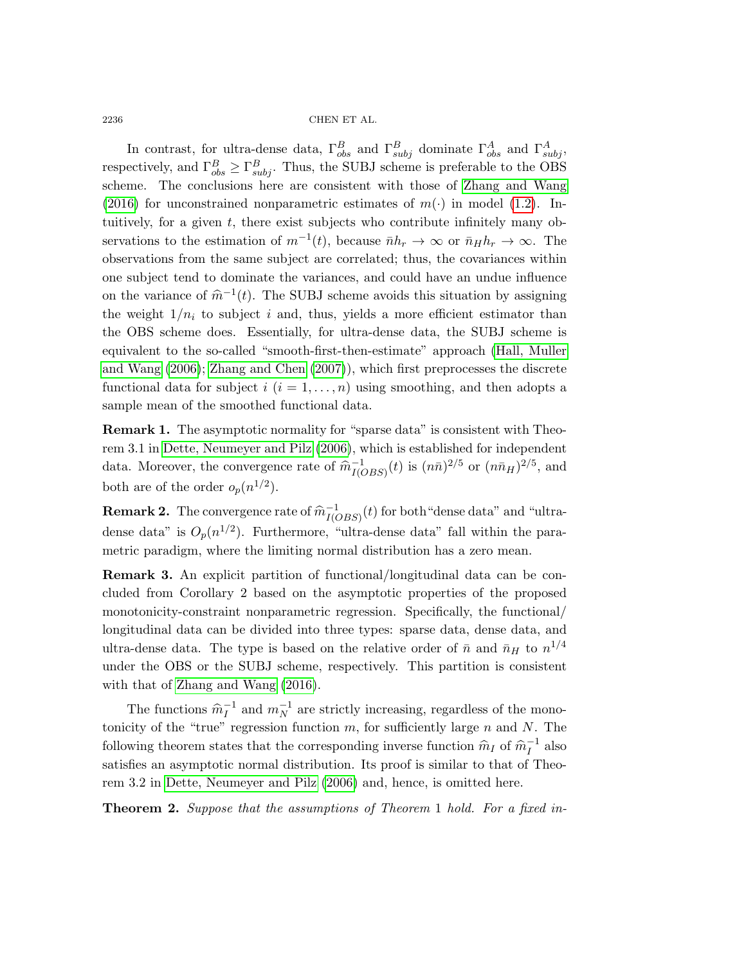In contrast, for ultra-dense data,  $\Gamma_{obs}^B$  and  $\Gamma_{subj}^B$  dominate  $\Gamma_{obs}^A$  and  $\Gamma_{subj}^A$ , respectively, and  $\Gamma_{obs}^B \geq \Gamma_{subj}^B$ . Thus, the SUBJ scheme is preferable to the OBS scheme. The conclusions here are consistent with those of [Zhang and Wang](#page-19-7) [\(2016\)](#page-19-7) for unconstrained nonparametric estimates of  $m(\cdot)$  in model [\(1.2\)](#page-1-1). Intuitively, for a given  $t$ , there exist subjects who contribute infinitely many observations to the estimation of  $m^{-1}(t)$ , because  $\bar{n}h_r \to \infty$  or  $\bar{n}_H h_r \to \infty$ . The observations from the same subject are correlated; thus, the covariances within one subject tend to dominate the variances, and could have an undue influence on the variance of  $\hat{m}^{-1}(t)$ . The SUBJ scheme avoids this situation by assigning the weight  $1/n_i$  to subject i and, thus, yields a more efficient estimator than the OBS scheme does. Essentially, for ultra-dense data, the SUBJ scheme is equivalent to the so-called "smooth-first-then-estimate" approach [\(Hall, Muller](#page-19-17) [and Wang \(2006\)](#page-19-17); [Zhang and Chen \(2007\)](#page-19-18)), which first preprocesses the discrete functional data for subject  $i$   $(i = 1, \ldots, n)$  using smoothing, and then adopts a sample mean of the smoothed functional data.

Remark 1. The asymptotic normality for "sparse data" is consistent with Theorem 3.1 in [Dette, Neumeyer and Pilz \(2006\)](#page-18-3), which is established for independent data. Moreover, the convergence rate of  $\hat{m}_{I(C)}^{-1}$  $\frac{1}{I(OBS)}(t)$  is  $(n\bar{n})^{2/5}$  or  $(n\bar{n}_H)^{2/5}$ , and both are of the order  $o_p(n^{1/2})$ .

**Remark 2.** The convergence rate of  $\widehat{m}_{I(C)}^{-1}$  $\frac{1}{I(OBS)}(t)$  for both "dense data" and "ultradense data" is  $O_p(n^{1/2})$ . Furthermore, "ultra-dense data" fall within the parametric paradigm, where the limiting normal distribution has a zero mean.

<span id="page-7-0"></span>Remark 3. An explicit partition of functional/longitudinal data can be concluded from Corollary [2](#page-6-0) based on the asymptotic properties of the proposed monotonicity-constraint nonparametric regression. Specifically, the functional/ longitudinal data can be divided into three types: sparse data, dense data, and ultra-dense data. The type is based on the relative order of  $\bar{n}$  and  $\bar{n}_H$  to  $n^{1/4}$ under the OBS or the SUBJ scheme, respectively. This partition is consistent with that of [Zhang and Wang \(2016\)](#page-19-7).

The functions  $\widehat{m}_I^{-1}$  $I_I^{-1}$  and  $m_N^{-1}$  are strictly increasing, regardless of the monotonicity of the "true" regression function  $m$ , for sufficiently large  $n$  and  $N$ . The following theorem states that the corresponding inverse function  $\hat{m}_I$  of  $\hat{m}_I^{-1}$  $I^{\text{-1}}$  also satisfies an asymptotic normal distribution. Its proof is similar to that of Theorem 3.2 in [Dette, Neumeyer and Pilz \(2006\)](#page-18-3) and, hence, is omitted here.

**Theorem 2.** Suppose that the assumptions of Theorem [1](#page-5-0) hold. For a fixed in-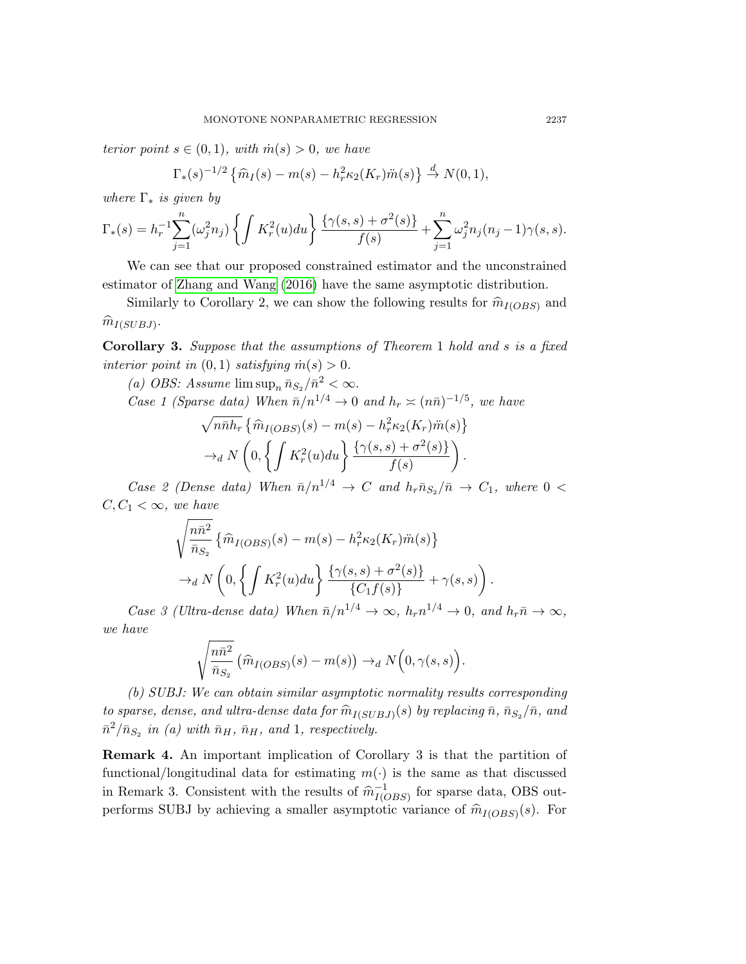terior point  $s \in (0,1)$ , with  $\dot{m}(s) > 0$ , we have

$$
\Gamma_*(s)^{-1/2} \left\{ \widehat{m}_I(s) - m(s) - h_r^2 \kappa_2(K_r) \widehat{m}(s) \right\} \stackrel{d}{\to} N(0, 1),
$$

where  $\Gamma_*$  is given by

$$
\Gamma_*(s) = h_r^{-1} \sum_{j=1}^n (\omega_j^2 n_j) \left\{ \int K_r^2(u) du \right\} \frac{\{\gamma(s, s) + \sigma^2(s)\}}{f(s)} + \sum_{j=1}^n \omega_j^2 n_j (n_j - 1) \gamma(s, s).
$$

We can see that our proposed constrained estimator and the unconstrained estimator of [Zhang and Wang \(2016\)](#page-19-7) have the same asymptotic distribution.

Similarly to Corollary [2,](#page-6-0) we can show the following results for  $\widehat{m}_{I(OBS)}$  and  $\widehat{m}_{I(SUBJ)}$ .

<span id="page-8-0"></span>Corollary 3. Suppose that the assumptions of Theorem [1](#page-5-0) hold and s is a fixed interior point in  $(0, 1)$  satisfying  $\dot{m}(s) > 0$ .

(a) OBS: Assume  $\limsup_n \bar{n}_{S_2}/\bar{n}^2 < \infty$ .

Case 1 (Sparse data) When 
$$
\bar{n}/n^{1/4} \to 0
$$
 and  $h_r \approx (n\bar{n})^{-1/5}$ , we have

$$
\sqrt{n\bar{n}h_r} \left\{ \widehat{m}_{I(OBS)}(s) - m(s) - h_r^2 \kappa_2(K_r) \widehat{m}(s) \right\}
$$

$$
\rightarrow_d N \left( 0, \left\{ \int K_r^2(u) du \right\} \frac{\left\{ \gamma(s, s) + \sigma^2(s) \right\}}{f(s)} \right).
$$

Case 2 (Dense data) When  $\bar{n}/n^{1/4} \rightarrow C$  and  $h_r \bar{n}_{S_2}/\bar{n} \rightarrow C_1$ , where 0 <  $C, C_1 < \infty$ , we have

$$
\sqrt{\frac{n\bar{n}^2}{\bar{n}_{S_2}}} \left\{ \widehat{m}_{I(OBS)}(s) - m(s) - h_r^2 \kappa_2(K_r) \ddot{m}(s) \right\}
$$

$$
\rightarrow_d N \left( 0, \left\{ \int K_r^2(u) du \right\} \frac{\left\{ \gamma(s,s) + \sigma^2(s) \right\}}{\left\{ C_1 f(s) \right\}} + \gamma(s,s) \right).
$$

Case 3 (Ultra-dense data) When  $\bar{n}/n^{1/4} \to \infty$ ,  $h_r n^{1/4} \to 0$ , and  $h_r \bar{n} \to \infty$ , we have

$$
\sqrt{\frac{n\bar{n}^2}{\bar{n}_{S_2}}} \left(\widehat{m}_{I(OBS)}(s) - m(s)\right) \to_d N\left(0, \gamma(s, s)\right).
$$

(b) SUBJ: We can obtain similar asymptotic normality results corresponding to sparse, dense, and ultra-dense data for  $\widehat{m}_{I(SUBJ)}(s)$  by replacing  $\overline{n}, \overline{n}_{S_2}/\overline{n}$ , and  $\overline{n}_{S_2}$ .  $\bar{n}^2/\bar{n}_{S_2}$  in (a) with  $\bar{n}_H$ ,  $\bar{n}_H$ , and 1, respectively.

Remark 4. An important implication of Corollary [3](#page-8-0) is that the partition of functional/longitudinal data for estimating  $m(\cdot)$  is the same as that discussed in Remark [3.](#page-7-0) Consistent with the results of  $\hat{m}_{I(C)}^{-1}$  $\frac{-1}{I(OBS)}$  for sparse data, OBS outperforms SUBJ by achieving a smaller asymptotic variance of  $\widehat{m}_{I(OBS)}(s)$ . For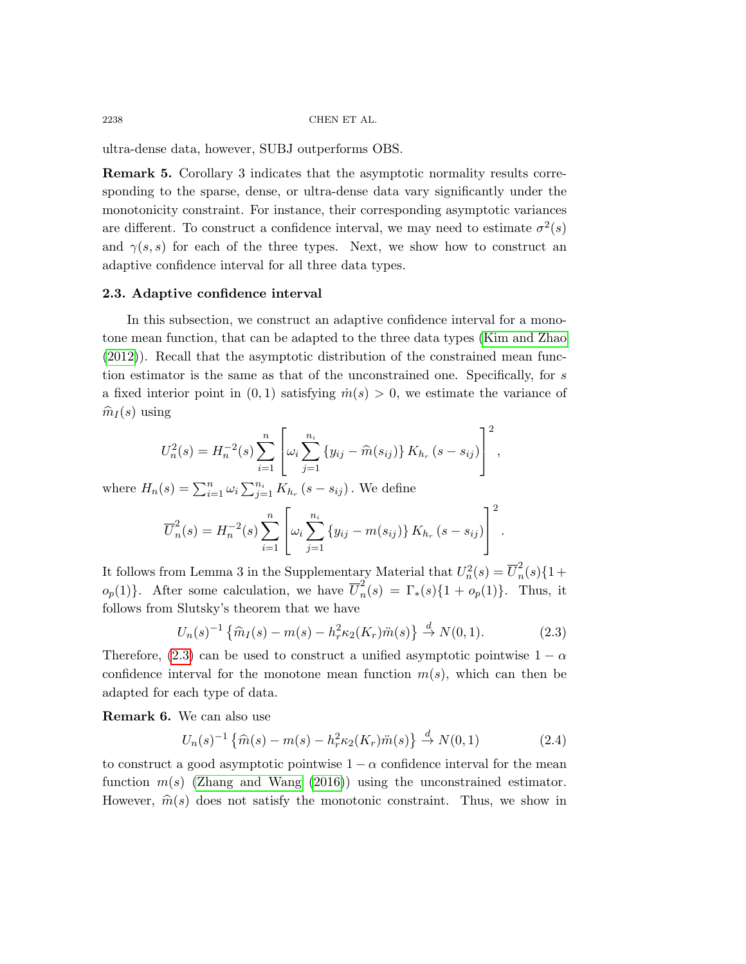ultra-dense data, however, SUBJ outperforms OBS.

Remark 5. Corollary [3](#page-8-0) indicates that the asymptotic normality results corresponding to the sparse, dense, or ultra-dense data vary significantly under the monotonicity constraint. For instance, their corresponding asymptotic variances are different. To construct a confidence interval, we may need to estimate  $\sigma^2(s)$ and  $\gamma(s, s)$  for each of the three types. Next, we show how to construct an adaptive confidence interval for all three data types.

## 2.3. Adaptive confidence interval

In this subsection, we construct an adaptive confidence interval for a monotone mean function, that can be adapted to the three data types [\(Kim and Zhao](#page-19-6) [\(2012\)](#page-19-6)). Recall that the asymptotic distribution of the constrained mean function estimator is the same as that of the unconstrained one. Specifically, for s a fixed interior point in  $(0, 1)$  satisfying  $\dot{m}(s) > 0$ , we estimate the variance of  $\widehat{m}_{I}(s)$  using

$$
U_n^2(s) = H_n^{-2}(s) \sum_{i=1}^n \left[ \omega_i \sum_{j=1}^{n_i} \{y_{ij} - \widehat{m}(s_{ij})\} K_{h_r}(s - s_{ij}) \right]^2,
$$

where  $H_n(s) = \sum_{i=1}^n \omega_i \sum_{j=1}^{n_i} K_{h_r}(s - s_{ij})$ . We define

$$
\overline{U}_n^2(s) = H_n^{-2}(s) \sum_{i=1}^n \left[ \omega_i \sum_{j=1}^{n_i} \left\{ y_{ij} - m(s_{ij}) \right\} K_{h_r}(s - s_{ij}) \right]^2.
$$

It follows from Lemma 3 in the Supplementary Material that  $U_n^2(s) = \overline{U}_n^2$  $\frac{2}{n}(s)\{1+\}$  $o_p(1)$ . After some calculation, we have  $\overline{U}_n^2$  $n(n) = \Gamma_*(s) \{1 + o_p(1)\}.$  Thus, it follows from Slutsky's theorem that we have

$$
U_n(s)^{-1} \left\{ \widehat{m}_I(s) - m(s) - h_r^2 \kappa_2(K_r) \ddot{m}(s) \right\} \stackrel{d}{\to} N(0, 1).
$$
 (2.3)

Therefore, [\(2.3\)](#page-5-2) can be used to construct a unified asymptotic pointwise  $1 - \alpha$ confidence interval for the monotone mean function  $m(s)$ , which can then be adapted for each type of data.

Remark 6. We can also use

<span id="page-9-0"></span>
$$
U_n(s)^{-1} \left\{ \widehat{m}(s) - m(s) - h_r^2 \kappa_2(K_r) \widehat{m}(s) \right\} \stackrel{d}{\to} N(0, 1)
$$
 (2.4)

to construct a good asymptotic pointwise  $1 - \alpha$  confidence interval for the mean function  $m(s)$  [\(Zhang and Wang \(2016\)](#page-19-7)) using the unconstrained estimator. However,  $\hat{m}(s)$  does not satisfy the monotonic constraint. Thus, we show in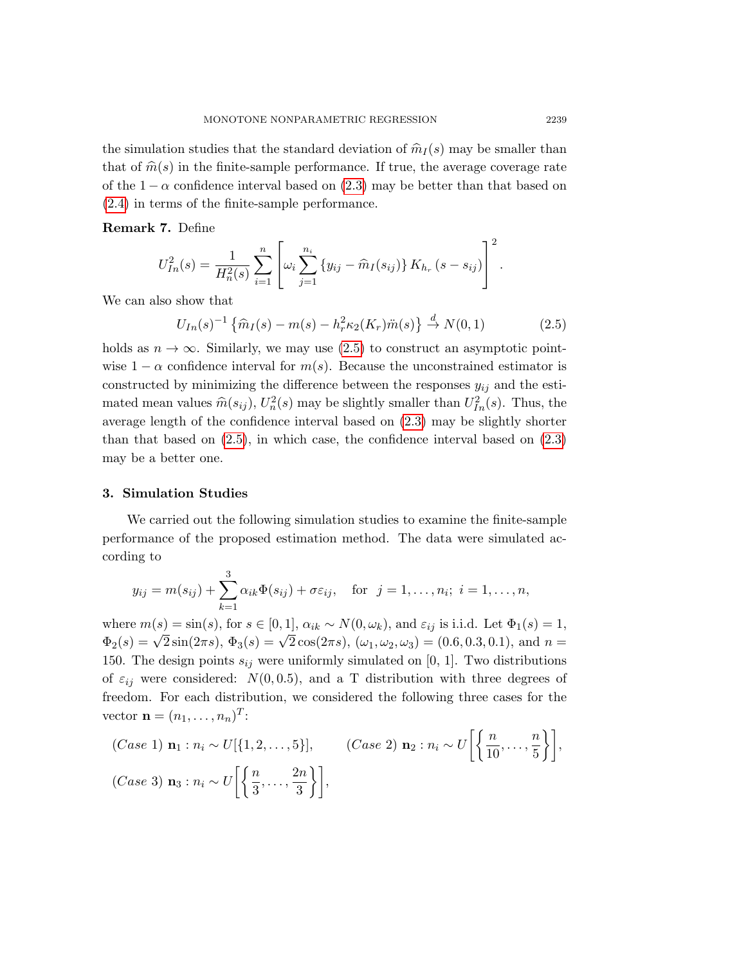the simulation studies that the standard deviation of  $\hat{m}_I(s)$  may be smaller than that of  $\hat{m}(s)$  in the finite-sample performance. If true, the average coverage rate of the  $1 - \alpha$  confidence interval based on [\(2.3\)](#page-5-2) may be better than that based on [\(2.4\)](#page-9-0) in terms of the finite-sample performance.

Remark 7. Define

<span id="page-10-0"></span>
$$
U_{In}^{2}(s) = \frac{1}{H_{n}^{2}(s)} \sum_{i=1}^{n} \left[ \omega_{i} \sum_{j=1}^{n_{i}} \left\{ y_{ij} - \widehat{m}_{I}(s_{ij}) \right\} K_{h_{r}}(s - s_{ij}) \right]^{2}.
$$

We can also show that

$$
U_{In}(s)^{-1} \left\{ \widehat{m}_I(s) - m(s) - h_r^2 \kappa_2(K_r) \ddot{m}(s) \right\} \stackrel{d}{\to} N(0, 1) \tag{2.5}
$$

holds as  $n \to \infty$ . Similarly, we may use [\(2.5\)](#page-10-0) to construct an asymptotic pointwise  $1 - \alpha$  confidence interval for  $m(s)$ . Because the unconstrained estimator is constructed by minimizing the difference between the responses  $y_{ij}$  and the estimated mean values  $\widehat{m}(s_{ij})$ ,  $U_n^2(s)$  may be slightly smaller than  $U_{In}^2(s)$ . Thus, the average length of the confidence interval based on [\(2.3\)](#page-5-2) may be slightly shorter than that based on  $(2.5)$ , in which case, the confidence interval based on  $(2.3)$ may be a better one.

#### 3. Simulation Studies

We carried out the following simulation studies to examine the finite-sample performance of the proposed estimation method. The data were simulated according to

$$
y_{ij} = m(s_{ij}) + \sum_{k=1}^{3} \alpha_{ik} \Phi(s_{ij}) + \sigma \varepsilon_{ij}
$$
, for  $j = 1, ..., n_i$ ;  $i = 1, ..., n$ ,

where  $m(s) = \sin(s)$ , for  $s \in [0, 1]$ ,  $\alpha_{ik} \sim N(0, \omega_k)$ , and  $\varepsilon_{ij}$  is i.i.d. Let  $\Phi_1(s) = 1$ , where  $m(s) = \sin(s)$ , for  $s \in [0, 1]$ ,  $\alpha_{ik} \sim N(0, \omega_k)$ , and  $\varepsilon_{ij}$  is find. Let  $\Psi_1(s) = 1$ ,<br>  $\Phi_2(s) = \sqrt{2} \sin(2\pi s)$ ,  $\Phi_3(s) = \sqrt{2} \cos(2\pi s)$ ,  $(\omega_1, \omega_2, \omega_3) = (0.6, 0.3, 0.1)$ , and  $n =$ 150. The design points  $s_{ij}$  were uniformly simulated on [0, 1]. Two distributions of  $\varepsilon_{ij}$  were considered:  $N(0, 0.5)$ , and a T distribution with three degrees of freedom. For each distribution, we considered the following three cases for the vector  $\mathbf{n} = (n_1, \ldots, n_n)^T$ :

(Case 1) 
$$
\mathbf{n}_1 : n_i \sim U[\{1, 2, \ldots, 5\}],
$$
 (Case 2)  $\mathbf{n}_2 : n_i \sim U\left[\left\{\frac{n}{10}, \ldots, \frac{n}{5}\right\}\right],$   
(Case 3)  $\mathbf{n}_3 : n_i \sim U\left[\left\{\frac{n}{3}, \ldots, \frac{2n}{3}\right\}\right],$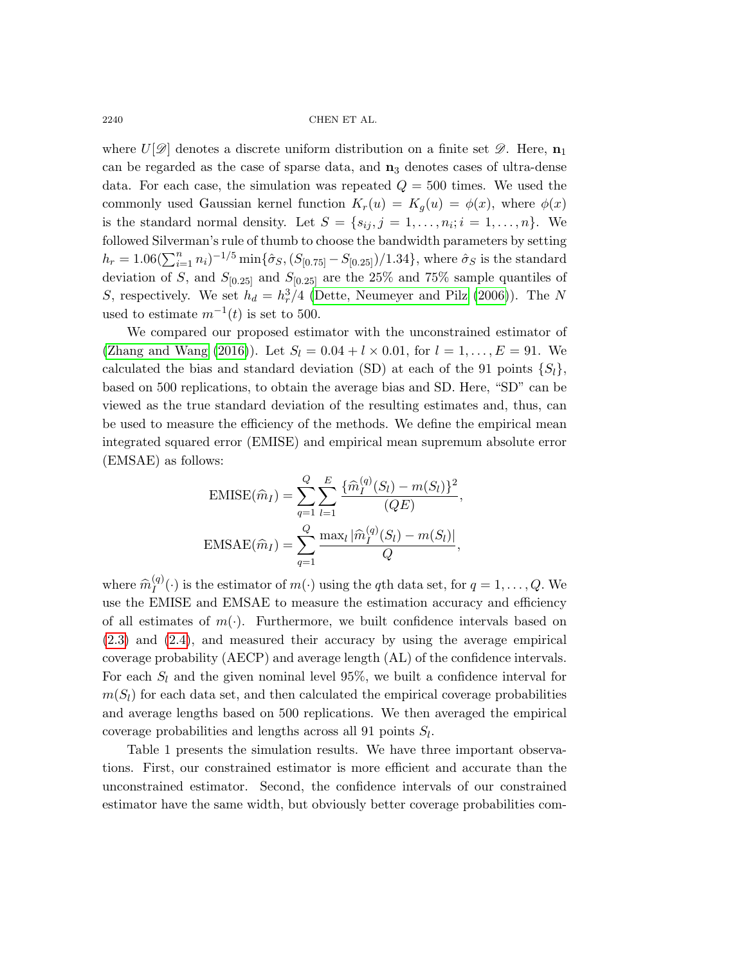$\begin{array}{lll}\n\text{CHEN ET AL.}\n\end{array}$ 

where  $U[\mathscr{D}]$  denotes a discrete uniform distribution on a finite set  $\mathscr{D}$ . Here,  $\mathbf{n}_1$ can be regarded as the case of sparse data, and  $n_3$  denotes cases of ultra-dense data. For each case, the simulation was repeated  $Q = 500$  times. We used the commonly used Gaussian kernel function  $K_r(u) = K_q(u) = \phi(x)$ , where  $\phi(x)$ is the standard normal density. Let  $S = \{s_{ij}, j = 1, \ldots, n_i; i = 1, \ldots, n\}$ . We followed Silverman's rule of thumb to choose the bandwidth parameters by setting  $h_r = 1.06(\sum_{i=1}^n n_i)^{-1/5} \min{\{\hat{\sigma}_S, (S_{[0.75]} - S_{[0.25]})/1.34\}},$  where  $\hat{\sigma}_S$  is the standard deviation of S, and  $S_{[0.25]}$  and  $S_{[0.25]}$  are the 25% and 75% sample quantiles of S, respectively. We set  $h_d = h_r^3/4$  [\(Dette, Neumeyer and Pilz \(2006\)](#page-18-3)). The N used to estimate  $m^{-1}(t)$  is set to 500.

We compared our proposed estimator with the unconstrained estimator of [\(Zhang and Wang \(2016\)](#page-19-7)). Let  $S_l = 0.04 + l \times 0.01$ , for  $l = 1, ..., E = 91$ . We calculated the bias and standard deviation (SD) at each of the 91 points  $\{S_l\}$ , based on 500 replications, to obtain the average bias and SD. Here, "SD" can be viewed as the true standard deviation of the resulting estimates and, thus, can be used to measure the efficiency of the methods. We define the empirical mean integrated squared error (EMISE) and empirical mean supremum absolute error (EMSAE) as follows:

$$
\text{EMISE}(\widehat{m}_I) = \sum_{q=1}^{Q} \sum_{l=1}^{E} \frac{\{\widehat{m}_I^{(q)}(S_l) - m(S_l)\}^2}{(QE)},
$$

$$
\text{EMSAE}(\widehat{m}_I) = \sum_{q=1}^{Q} \frac{\max_l |\widehat{m}_I^{(q)}(S_l) - m(S_l)|}{Q},
$$

where  $\widehat{m}_{I}^{(q)}$  $I_I^{(q)}(\cdot)$  is the estimator of  $m(\cdot)$  using the qth data set, for  $q = 1, \ldots, Q$ . We use the EMISE and EMSAE to measure the estimation accuracy and efficiency of all estimates of  $m(\cdot)$ . Furthermore, we built confidence intervals based on [\(2.3\)](#page-5-2) and [\(2.4\)](#page-9-0), and measured their accuracy by using the average empirical coverage probability (AECP) and average length (AL) of the confidence intervals. For each  $S_l$  and the given nominal level 95%, we built a confidence interval for  $m(S_l)$  for each data set, and then calculated the empirical coverage probabilities and average lengths based on 500 replications. We then averaged the empirical coverage probabilities and lengths across all 91 points  $S_l$ .

Table [1](#page-12-0) presents the simulation results. We have three important observations. First, our constrained estimator is more efficient and accurate than the unconstrained estimator. Second, the confidence intervals of our constrained estimator have the same width, but obviously better coverage probabilities com-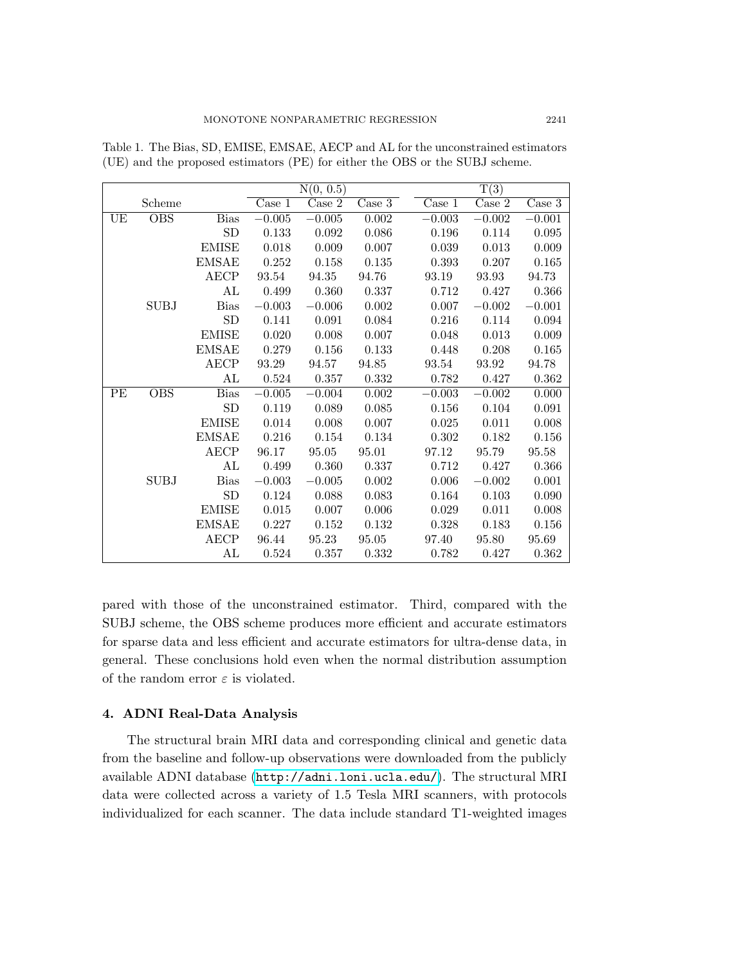|    |                         |              | N(0, 0.5)                  |                            |        |           | $\overline{T(3)}$ |                            |  |
|----|-------------------------|--------------|----------------------------|----------------------------|--------|-----------|-------------------|----------------------------|--|
|    | Scheme                  |              | $\overline{\text{Case 1}}$ | $\overline{\text{Case 2}}$ | Case 3 | Case 1    | Case 2            | $\overline{\text{Case }3}$ |  |
| UE | $\overline{\text{OBS}}$ | <b>Bias</b>  | $-0.005$                   | $-0.005$                   | 0.002  | $-0.003$  | $-0.002$          | $-0.001$                   |  |
|    |                         | SD           | 0.133                      | 0.092                      | 0.086  | 0.196     | 0.114             | 0.095                      |  |
|    |                         | <b>EMISE</b> | 0.018                      | 0.009                      | 0.007  | 0.039     | 0.013             | 0.009                      |  |
|    |                         | <b>EMSAE</b> | 0.252                      | 0.158                      | 0.135  | 0.393     | 0.207             | 0.165                      |  |
|    |                         | <b>AECP</b>  | 93.54                      | $94.35\,$                  | 94.76  | 93.19     | 93.93             | 94.73                      |  |
|    |                         | AL           | 0.499                      | 0.360                      | 0.337  | 0.712     | 0.427             | 0.366                      |  |
|    | <b>SUBJ</b>             | <b>Bias</b>  | $-0.003$                   | $-0.006$                   | 0.002  | 0.007     | $-0.002$          | $-0.001$                   |  |
|    |                         | SD           | 0.141                      | 0.091                      | 0.084  | 0.216     | 0.114             | 0.094                      |  |
|    |                         | <b>EMISE</b> | 0.020                      | 0.008                      | 0.007  | 0.048     | 0.013             | 0.009                      |  |
|    |                         | <b>EMSAE</b> | 0.279                      | 0.156                      | 0.133  | 0.448     | 0.208             | 0.165                      |  |
|    |                         | <b>AECP</b>  | 93.29                      | 94.57                      | 94.85  | 93.54     | 93.92             | 94.78                      |  |
|    |                         | AL           | 0.524                      | 0.357                      | 0.332  | 0.782     | 0.427             | 0.362                      |  |
| PE | <b>OBS</b>              | <b>Bias</b>  | $-0.005$                   | $-0.004$                   | 0.002  | $-0.003$  | $-0.002$          | 0.000                      |  |
|    |                         | SD           | 0.119                      | 0.089                      | 0.085  | 0.156     | 0.104             | 0.091                      |  |
|    |                         | <b>EMISE</b> | 0.014                      | 0.008                      | 0.007  | 0.025     | 0.011             | 0.008                      |  |
|    |                         | <b>EMSAE</b> | 0.216                      | 0.154                      | 0.134  | $0.302\,$ | 0.182             | 0.156                      |  |
|    |                         | <b>AECP</b>  | 96.17                      | $\boldsymbol{95.05}$       | 95.01  | 97.12     | 95.79             | 95.58                      |  |
|    |                         | AL           | 0.499                      | 0.360                      | 0.337  | 0.712     | 0.427             | 0.366                      |  |
|    | <b>SUBJ</b>             | <b>Bias</b>  | $-0.003$                   | $-0.005$                   | 0.002  | 0.006     | $-0.002$          | 0.001                      |  |
|    |                         | <b>SD</b>    | 0.124                      | 0.088                      | 0.083  | 0.164     | 0.103             | 0.090                      |  |
|    |                         | <b>EMISE</b> | 0.015                      | 0.007                      | 0.006  | 0.029     | 0.011             | 0.008                      |  |
|    |                         | <b>EMSAE</b> | 0.227                      | 0.152                      | 0.132  | 0.328     | 0.183             | 0.156                      |  |
|    |                         | <b>AECP</b>  | 96.44                      | 95.23                      | 95.05  | 97.40     | 95.80             | 95.69                      |  |
|    |                         | AL           | 0.524                      | 0.357                      | 0.332  | 0.782     | 0.427             | 0.362                      |  |

<span id="page-12-0"></span>Table 1. The Bias, SD, EMISE, EMSAE, AECP and AL for the unconstrained estimators (UE) and the proposed estimators (PE) for either the OBS or the SUBJ scheme.

pared with those of the unconstrained estimator. Third, compared with the SUBJ scheme, the OBS scheme produces more efficient and accurate estimators for sparse data and less efficient and accurate estimators for ultra-dense data, in general. These conclusions hold even when the normal distribution assumption of the random error  $\varepsilon$  is violated.

## 4. ADNI Real-Data Analysis

The structural brain MRI data and corresponding clinical and genetic data from the baseline and follow-up observations were downloaded from the publicly available ADNI database (<http://adni.loni.ucla.edu/>). The structural MRI data were collected across a variety of 1.5 Tesla MRI scanners, with protocols individualized for each scanner. The data include standard T1-weighted images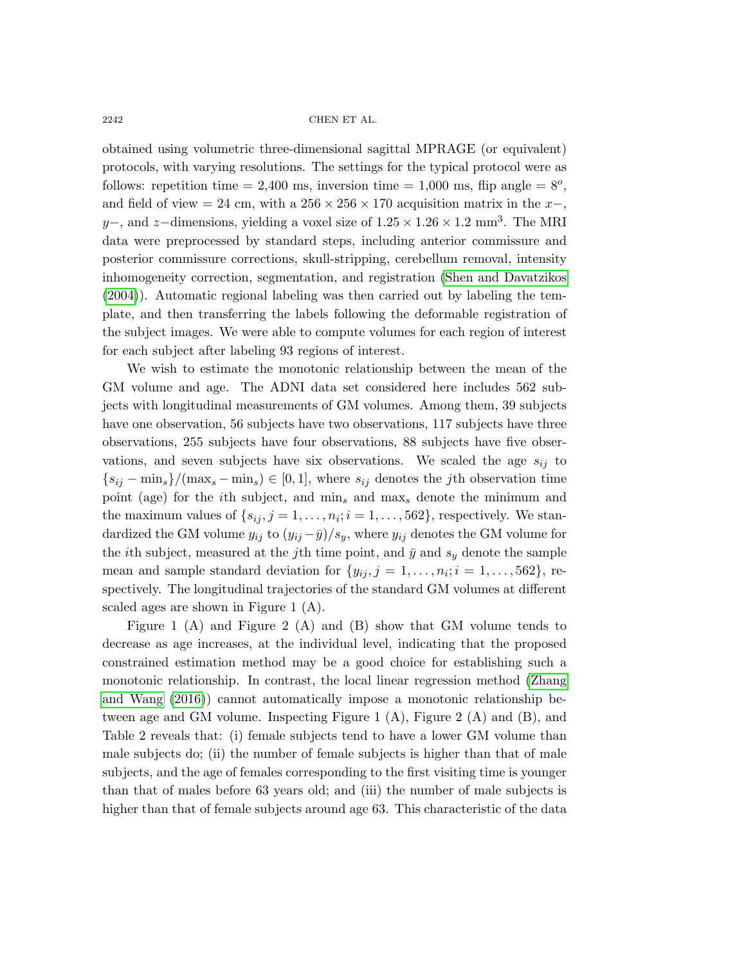obtained using volumetric three-dimensional sagittal MPRAGE (or equivalent) protocols, with varying resolutions. The settings for the typical protocol were as follows: repetition time = 2,400 ms, inversion time = 1,000 ms, flip angle =  $8^\circ$ , and field of view = 24 cm, with a  $256 \times 256 \times 170$  acquisition matrix in the x-, y–, and z–dimensions, yielding a voxel size of  $1.25 \times 1.26 \times 1.2$  mm<sup>3</sup>. The MRI data were preprocessed by standard steps, including anterior commissure and posterior commissure corrections, skull-stripping, cerebellum removal, intensity inhomogeneity correction, segmentation, and registration [\(Shen and Davatzikos](#page-19-19) [\(2004\)](#page-19-19)). Automatic regional labeling was then carried out by labeling the template, and then transferring the labels following the deformable registration of the subject images. We were able to compute volumes for each region of interest for each subject after labeling 93 regions of interest.

We wish to estimate the monotonic relationship between the mean of the GM volume and age. The ADNI data set considered here includes 562 subjects with longitudinal measurements of GM volumes. Among them, 39 subjects have one observation, 56 subjects have two observations, 117 subjects have three observations, 255 subjects have four observations, 88 subjects have five observations, and seven subjects have six observations. We scaled the age  $s_{ij}$  to  ${s_{ij} - \min_s}/(\max_s - \min_s) \in [0, 1]$ , where  $s_{ij}$  denotes the *j*th observation time point (age) for the *i*th subject, and  $\min_s$  and  $\max_s$  denote the minimum and the maximum values of  $\{s_{ij}, j = 1, \ldots, n_i; i = 1, \ldots, 562\}$ , respectively. We standardized the GM volume  $y_{ij}$  to  $(y_{ij} - \bar{y})/s_y$ , where  $y_{ij}$  denotes the GM volume for the *i*th subject, measured at the *j*th time point, and  $\bar{y}$  and  $s_y$  denote the sample mean and sample standard deviation for  $\{y_{ij}, j = 1, \ldots, n_i; i = 1, \ldots, 562\}$ , respectively. The longitudinal trajectories of the standard GM volumes at different scaled ages are shown in Figure [1](#page-14-0) (A).

Figure [1](#page-14-0) (A) and Figure [2](#page-15-0) (A) and (B) show that GM volume tends to decrease as age increases, at the individual level, indicating that the proposed constrained estimation method may be a good choice for establishing such a monotonic relationship. In contrast, the local linear regression method [\(Zhang](#page-19-7) [and Wang \(2016\)](#page-19-7)) cannot automatically impose a monotonic relationship be-tween age and GM volume. Inspecting Figure [1](#page-14-0)  $(A)$ , Figure [2](#page-15-0)  $(A)$  and  $(B)$ , and Table [2](#page-14-1) reveals that: (i) female subjects tend to have a lower GM volume than male subjects do; (ii) the number of female subjects is higher than that of male subjects, and the age of females corresponding to the first visiting time is younger than that of males before 63 years old; and (iii) the number of male subjects is higher than that of female subjects around age 63. This characteristic of the data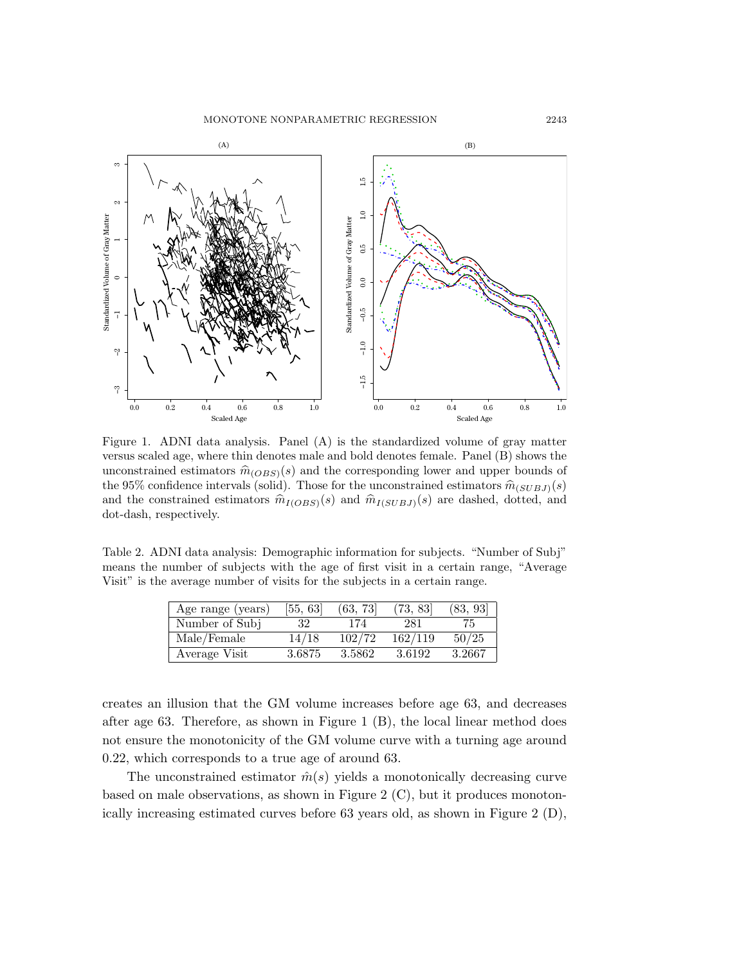<span id="page-14-0"></span>

Figure 1. ADNI data analysis. Panel (A) is the standardized volume of gray matter versus scaled age, where thin denotes male and bold denotes female. Panel (B) shows the unconstrained estimators  $\hat{m}_{(OBS)}(s)$  and the corresponding lower and upper bounds of the 95% confidence intervals (solid). Those for the unconstrained estimators  $\hat{m}_{(SUBJ)}(s)$ and the constrained estimators  $\hat{m}_{I(OBS)}(s)$  and  $\hat{m}_{I(SUBJ)}(s)$  are dashed, dotted, and dot-dash, respectively.

<span id="page-14-1"></span>Table 2. ADNI data analysis: Demographic information for subjects. "Number of Subj" means the number of subjects with the age of first visit in a certain range, "Average Visit" is the average number of visits for the subjects in a certain range.

| Age range (years) | [55, 63] | (63, 73) | (73, 83) | (83, 93] |
|-------------------|----------|----------|----------|----------|
| Number of Subj    | 32       | 174      | 281      | 75.      |
| Male/Female       | 14/18    | 102/72   | 162/119  | 50/25    |
| Average Visit     | 3.6875   | 3.5862   | 3.6192   | 3.2667   |

creates an illusion that the GM volume increases before age 63, and decreases after age 63. Therefore, as shown in Figure [1](#page-14-0) (B), the local linear method does not ensure the monotonicity of the GM volume curve with a turning age around 0.22, which corresponds to a true age of around 63.

The unconstrained estimator  $\hat{m}(s)$  yields a monotonically decreasing curve based on male observations, as shown in Figure [2](#page-15-0) (C), but it produces monotonically increasing estimated curves before 63 years old, as shown in Figure [2](#page-15-0) (D),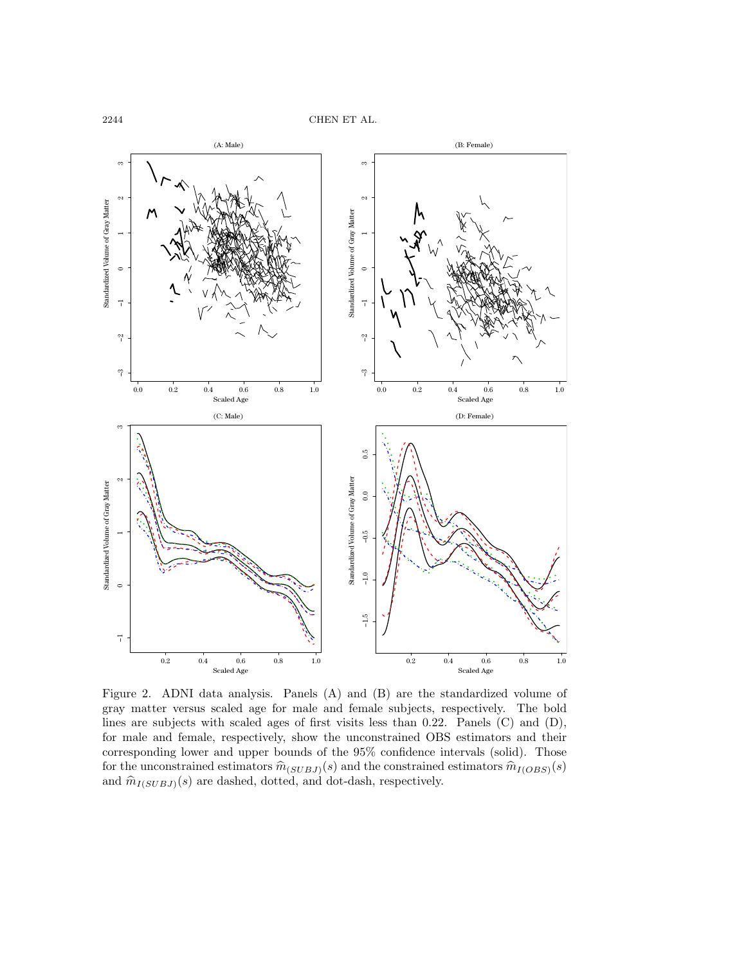<span id="page-15-0"></span>

Figure 2. ADNI data analysis. Panels (A) and (B) are the standardized volume of gray matter versus scaled age for male and female subjects, respectively. The bold lines are subjects with scaled ages of first visits less than 0.22. Panels (C) and (D), for male and female, respectively, show the unconstrained OBS estimators and their corresponding lower and upper bounds of the 95% confidence intervals (solid). Those for the unconstrained estimators  $\hat{m}_{(SUBJ)}(s)$  and the constrained estimators  $\hat{m}_{I(OBS)}(s)$ and  $\hat{m}_{I(SUBJ)}(s)$  are dashed, dotted, and dot-dash, respectively.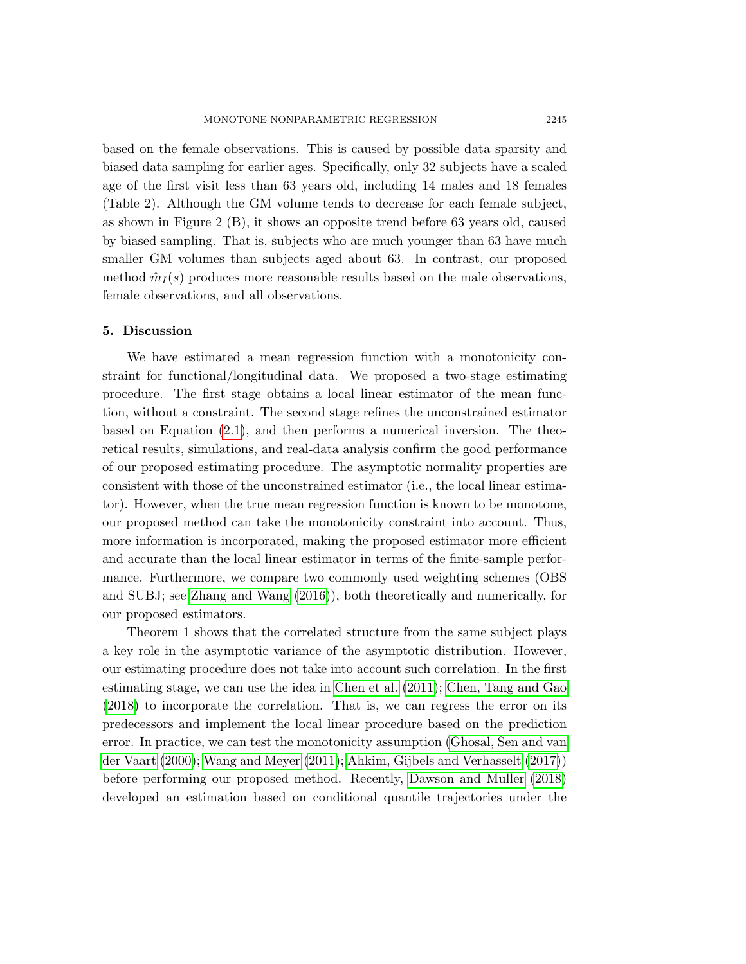based on the female observations. This is caused by possible data sparsity and biased data sampling for earlier ages. Specifically, only 32 subjects have a scaled age of the first visit less than 63 years old, including 14 males and 18 females (Table [2\)](#page-14-1). Although the GM volume tends to decrease for each female subject, as shown in Figure [2](#page-15-0) (B), it shows an opposite trend before 63 years old, caused by biased sampling. That is, subjects who are much younger than 63 have much smaller GM volumes than subjects aged about 63. In contrast, our proposed method  $\hat{m}_I(s)$  produces more reasonable results based on the male observations, female observations, and all observations.

### 5. Discussion

We have estimated a mean regression function with a monotonicity constraint for functional/longitudinal data. We proposed a two-stage estimating procedure. The first stage obtains a local linear estimator of the mean function, without a constraint. The second stage refines the unconstrained estimator based on Equation [\(2.1\)](#page-3-0), and then performs a numerical inversion. The theoretical results, simulations, and real-data analysis confirm the good performance of our proposed estimating procedure. The asymptotic normality properties are consistent with those of the unconstrained estimator (i.e., the local linear estimator). However, when the true mean regression function is known to be monotone, our proposed method can take the monotonicity constraint into account. Thus, more information is incorporated, making the proposed estimator more efficient and accurate than the local linear estimator in terms of the finite-sample performance. Furthermore, we compare two commonly used weighting schemes (OBS and SUBJ; see [Zhang and Wang \(2016\)](#page-19-7)), both theoretically and numerically, for our proposed estimators.

Theorem [1](#page-5-0) shows that the correlated structure from the same subject plays a key role in the asymptotic variance of the asymptotic distribution. However, our estimating procedure does not take into account such correlation. In the first estimating stage, we can use the idea in [Chen et al. \(2011\)](#page-18-4); [Chen, Tang and Gao](#page-18-5) [\(2018\)](#page-18-5) to incorporate the correlation. That is, we can regress the error on its predecessors and implement the local linear procedure based on the prediction error. In practice, we can test the monotonicity assumption [\(Ghosal, Sen and van](#page-18-6) [der Vaart \(2000\)](#page-18-6); [Wang and Meyer \(2011\)](#page-19-20); [Ahkim, Gijbels and Verhasselt \(2017\)](#page-18-7)) before performing our proposed method. Recently, [Dawson and Muller \(2018\)](#page-18-1) developed an estimation based on conditional quantile trajectories under the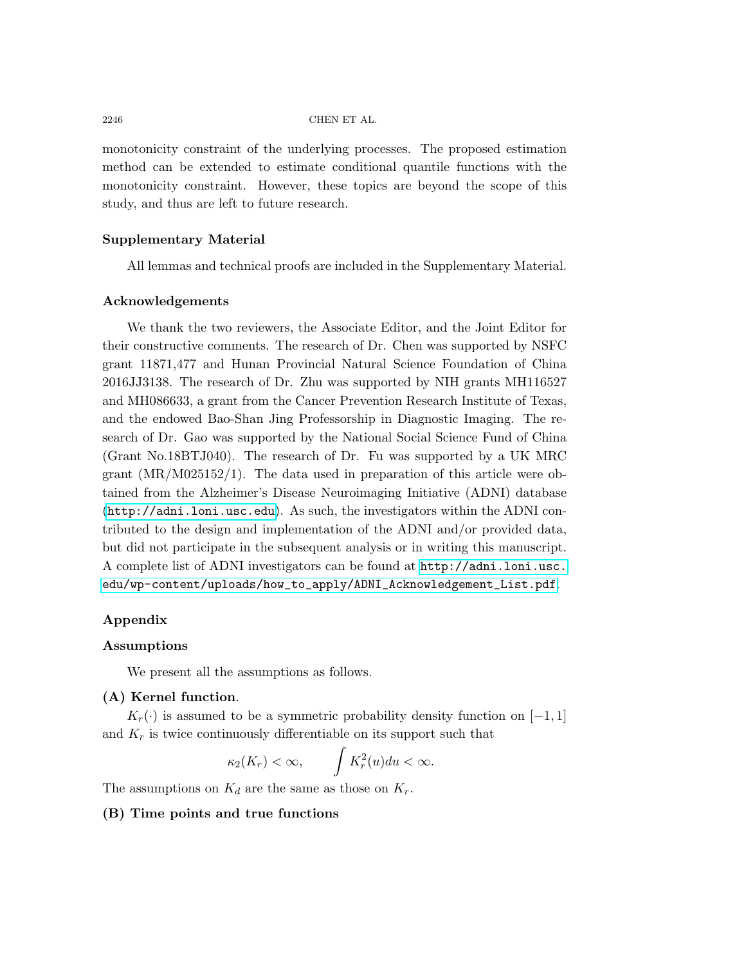monotonicity constraint of the underlying processes. The proposed estimation method can be extended to estimate conditional quantile functions with the monotonicity constraint. However, these topics are beyond the scope of this study, and thus are left to future research.

# Supplementary Material

All lemmas and technical proofs are included in the Supplementary Material.

#### Acknowledgements

We thank the two reviewers, the Associate Editor, and the Joint Editor for their constructive comments. The research of Dr. Chen was supported by NSFC grant 11871,477 and Hunan Provincial Natural Science Foundation of China 2016JJ3138. The research of Dr. Zhu was supported by NIH grants MH116527 and MH086633, a grant from the Cancer Prevention Research Institute of Texas, and the endowed Bao-Shan Jing Professorship in Diagnostic Imaging. The research of Dr. Gao was supported by the National Social Science Fund of China (Grant No.18BTJ040). The research of Dr. Fu was supported by a UK MRC grant (MR/M025152/1). The data used in preparation of this article were obtained from the Alzheimer's Disease Neuroimaging Initiative (ADNI) database (<http://adni.loni.usc.edu>). As such, the investigators within the ADNI contributed to the design and implementation of the ADNI and/or provided data, but did not participate in the subsequent analysis or in writing this manuscript. A complete list of ADNI investigators can be found at [http://adni.loni.usc.](http://adni.loni.usc.edu/wp-content/uploads /how_to_apply/ADNI_Acknowledgement_List.pdf) [edu/wp-content/uploads/how\\_to\\_apply/ADNI\\_Acknowledgement\\_List.pdf](http://adni.loni.usc.edu/wp-content/uploads /how_to_apply/ADNI_Acknowledgement_List.pdf).

## Appendix

## Assumptions

We present all the assumptions as follows.

# (A) Kernel function.

 $K_r(\cdot)$  is assumed to be a symmetric probability density function on [−1, 1] and  $K_r$  is twice continuously differentiable on its support such that

$$
\kappa_2(K_r) < \infty, \qquad \int K_r^2(u) du < \infty.
$$

The assumptions on  $K_d$  are the same as those on  $K_r$ .

## (B) Time points and true functions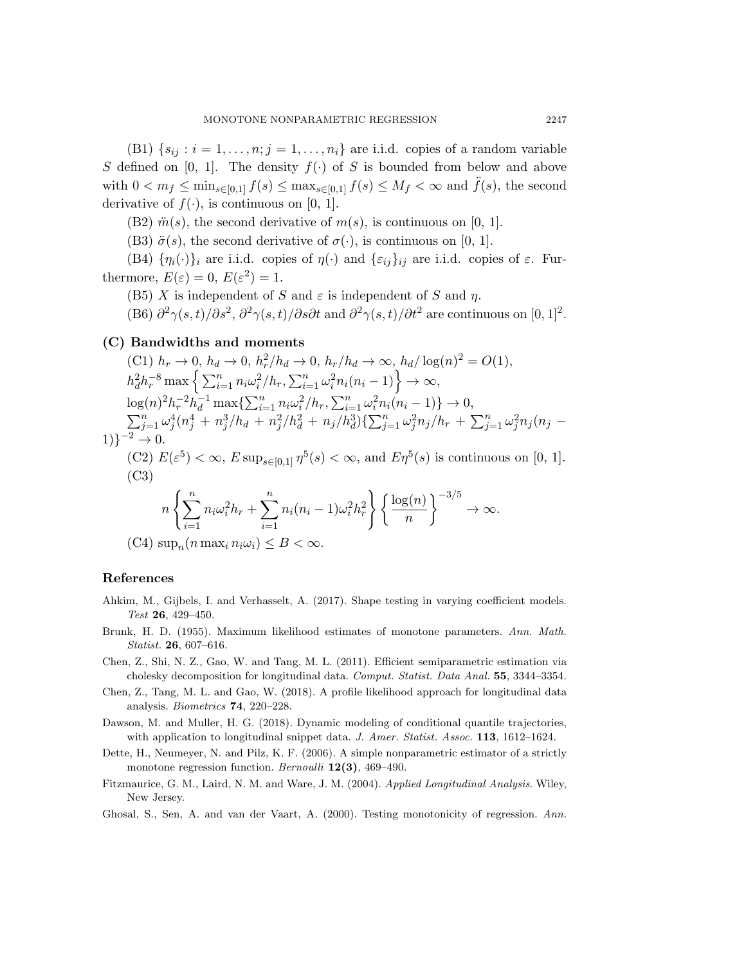(B1)  $\{s_{ij} : i = 1, \ldots, n; j = 1, \ldots, n_i\}$  are i.i.d. copies of a random variable S defined on [0, 1]. The density  $f(\cdot)$  of S is bounded from below and above with  $0 < m_f \le \min_{s \in [0,1]} f(s) \le \max_{s \in [0,1]} f(s) \le M_f < \infty$  and  $\ddot{f}(s)$ , the second derivative of  $f(\cdot)$ , is continuous on [0, 1].

(B2)  $\ddot{m}(s)$ , the second derivative of  $m(s)$ , is continuous on [0, 1].

(B3)  $\ddot{\sigma}(s)$ , the second derivative of  $\sigma(\cdot)$ , is continuous on [0, 1].

(B4)  $\{\eta_i(\cdot)\}_i$  are i.i.d. copies of  $\eta(\cdot)$  and  $\{\varepsilon_{ij}\}_{ij}$  are i.i.d. copies of  $\varepsilon$ . Furthermore,  $E(\varepsilon) = 0$ ,  $E(\varepsilon^2) = 1$ .

(B5) X is independent of S and  $\varepsilon$  is independent of S and  $\eta$ .

(B6)  $\partial^2 \gamma(s,t)/\partial s^2$ ,  $\partial^2 \gamma(s,t)/\partial s \partial t$  and  $\partial^2 \gamma(s,t)/\partial t^2$  are continuous on [0, 1]<sup>2</sup>.

(C) Bandwidths and moments

$$
(C1) \ h_r \to 0, \ h_d \to 0, \ h_r^2/h_d \to 0, \ h_r/h_d \to \infty, \ h_d/\log(n)^2 = O(1),
$$
  
\n
$$
h_d^2 h_r^{-8} \max \left\{ \sum_{i=1}^n n_i \omega_i^2/h_r, \sum_{i=1}^n \omega_i^2 n_i (n_i - 1) \right\} \to \infty,
$$
  
\n
$$
\log(n)^2 h_r^{-2} h_d^{-1} \max \left\{ \sum_{i=1}^n n_i \omega_i^2/h_r, \sum_{i=1}^n \omega_i^2 n_i (n_i - 1) \right\} \to 0,
$$
  
\n
$$
\sum_{j=1}^n \omega_j^4 (n_j^4 + n_j^3/h_d + n_j^2/h_d^2 + n_j/h_d^3) \left\{ \sum_{j=1}^n \omega_j^2 n_j/h_r + \sum_{j=1}^n \omega_j^2 n_j (n_j - 1) \right\}^{-2} \to 0.
$$
  
\n
$$
(C2) E(\varepsilon^5) < \infty, E \sup_{s \in [0,1]} \eta^5(s) < \infty, \text{ and } E\eta^5(s) \text{ is continuous on } [0, 1].
$$
  
\n
$$
(C3)
$$
  
\n
$$
n \left\{ \sum_{i=1}^n n_i \omega_i^2 h_r + \sum_{i=1}^n n_i (n_i - 1) \omega_i^2 h_r^2 \right\} \left\{ \frac{\log(n)}{n} \right\}^{-3/5} \to \infty.
$$

(C4)  $\sup_n(n \max_i n_i \omega_i) \leq B < \infty$ .

#### References

- <span id="page-18-7"></span>Ahkim, M., Gijbels, I. and Verhasselt, A. (2017). Shape testing in varying coefficient models. Test 26, 429–450.
- <span id="page-18-2"></span>Brunk, H. D. (1955). Maximum likelihood estimates of monotone parameters. Ann. Math. Statist. 26, 607–616.
- <span id="page-18-4"></span>Chen, Z., Shi, N. Z., Gao, W. and Tang, M. L. (2011). Efficient semiparametric estimation via cholesky decomposition for longitudinal data. Comput. Statist. Data Anal. 55, 3344–3354.
- <span id="page-18-5"></span>Chen, Z., Tang, M. L. and Gao, W. (2018). A profile likelihood approach for longitudinal data analysis. Biometrics 74, 220–228.
- <span id="page-18-1"></span>Dawson, M. and Muller, H. G. (2018). Dynamic modeling of conditional quantile trajectories, with application to longitudinal snippet data. J. Amer. Statist. Assoc. 113, 1612-1624.
- <span id="page-18-3"></span>Dette, H., Neumeyer, N. and Pilz, K. F. (2006). A simple nonparametric estimator of a strictly monotone regression function. *Bernoulli*  $12(3)$ , 469–490.
- <span id="page-18-0"></span>Fitzmaurice, G. M., Laird, N. M. and Ware, J. M. (2004). Applied Longitudinal Analysis. Wiley, New Jersey.

<span id="page-18-6"></span>Ghosal, S., Sen, A. and van der Vaart, A. (2000). Testing monotonicity of regression. Ann.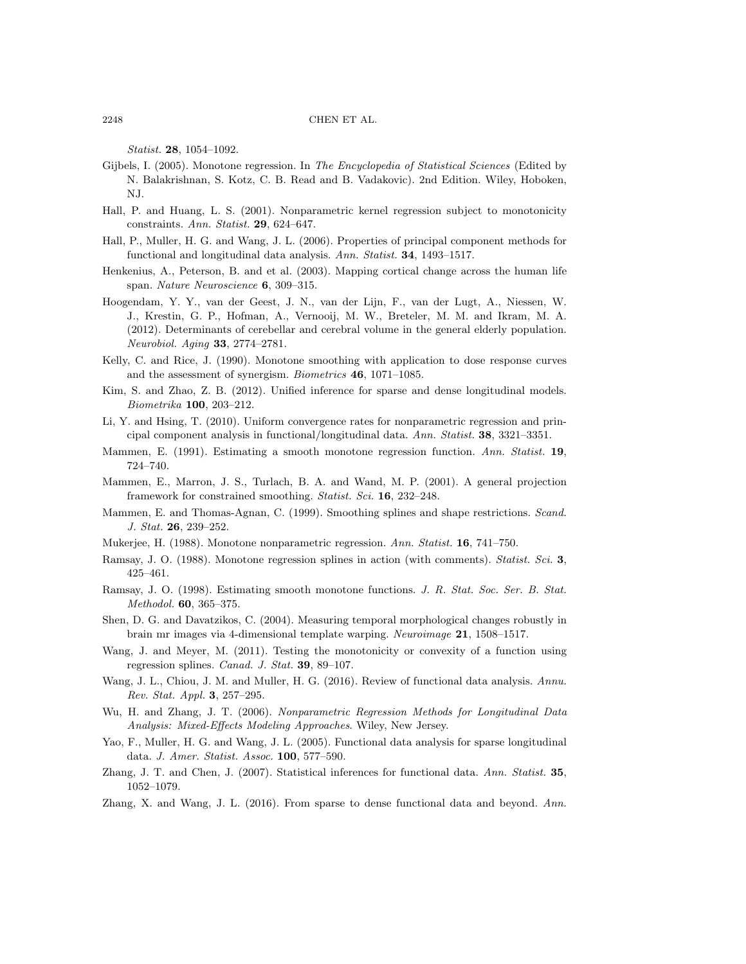Statist. 28, 1054–1092.

- <span id="page-19-8"></span>Gijbels, I. (2005). Monotone regression. In The Encyclopedia of Statistical Sciences (Edited by N. Balakrishnan, S. Kotz, C. B. Read and B. Vadakovic). 2nd Edition. Wiley, Hoboken, NJ.
- <span id="page-19-16"></span>Hall, P. and Huang, L. S. (2001). Nonparametric kernel regression subject to monotonicity constraints. Ann. Statist. 29, 624–647.
- <span id="page-19-17"></span>Hall, P., Muller, H. G. and Wang, J. L. (2006). Properties of principal component methods for functional and longitudinal data analysis. Ann. Statist. 34, 1493–1517.
- <span id="page-19-0"></span>Henkenius, A., Peterson, B. and et al. (2003). Mapping cortical change across the human life span. Nature Neuroscience 6, 309-315.
- <span id="page-19-1"></span>Hoogendam, Y. Y., van der Geest, J. N., van der Lijn, F., van der Lugt, A., Niessen, W. J., Krestin, G. P., Hofman, A., Vernooij, M. W., Breteler, M. M. and Ikram, M. A. (2012). Determinants of cerebellar and cerebral volume in the general elderly population. Neurobiol. Aging 33, 2774–2781.
- <span id="page-19-13"></span>Kelly, C. and Rice, J. (1990). Monotone smoothing with application to dose response curves and the assessment of synergism. Biometrics 46, 1071–1085.
- <span id="page-19-6"></span>Kim, S. and Zhao, Z. B. (2012). Unified inference for sparse and dense longitudinal models. Biometrika 100, 203–212.
- <span id="page-19-5"></span>Li, Y. and Hsing, T. (2010). Uniform convergence rates for nonparametric regression and principal component analysis in functional/longitudinal data. Ann. Statist. 38, 3321–3351.
- <span id="page-19-10"></span>Mammen, E. (1991). Estimating a smooth monotone regression function. Ann. Statist. 19, 724–740.
- <span id="page-19-15"></span>Mammen, E., Marron, J. S., Turlach, B. A. and Wand, M. P. (2001). A general projection framework for constrained smoothing. Statist. Sci. 16, 232-248.
- <span id="page-19-14"></span>Mammen, E. and Thomas-Agnan, C. (1999). Smoothing splines and shape restrictions. Scand. J. Stat. 26, 239–252.
- <span id="page-19-9"></span>Mukerjee, H. (1988). Monotone nonparametric regression. Ann. Statist. 16, 741–750.
- <span id="page-19-11"></span>Ramsay, J. O. (1988). Monotone regression splines in action (with comments). *Statist. Sci.* 3, 425–461.
- <span id="page-19-12"></span>Ramsay, J. O. (1998). Estimating smooth monotone functions. J. R. Stat. Soc. Ser. B. Stat. Methodol. 60, 365–375.
- <span id="page-19-19"></span>Shen, D. G. and Davatzikos, C. (2004). Measuring temporal morphological changes robustly in brain mr images via 4-dimensional template warping. Neuroimage 21, 1508–1517.
- <span id="page-19-20"></span>Wang, J. and Meyer, M. (2011). Testing the monotonicity or convexity of a function using regression splines. Canad. J. Stat. 39, 89–107.
- <span id="page-19-4"></span>Wang, J. L., Chiou, J. M. and Muller, H. G. (2016). Review of functional data analysis. Annu. Rev. Stat. Appl. 3, 257–295.
- <span id="page-19-3"></span>Wu, H. and Zhang, J. T. (2006). Nonparametric Regression Methods for Longitudinal Data Analysis: Mixed-Effects Modeling Approaches. Wiley, New Jersey.
- <span id="page-19-2"></span>Yao, F., Muller, H. G. and Wang, J. L. (2005). Functional data analysis for sparse longitudinal data. J. Amer. Statist. Assoc. 100, 577–590.
- <span id="page-19-18"></span>Zhang, J. T. and Chen, J. (2007). Statistical inferences for functional data. Ann. Statist. 35, 1052–1079.
- <span id="page-19-7"></span>Zhang, X. and Wang, J. L. (2016). From sparse to dense functional data and beyond. Ann.